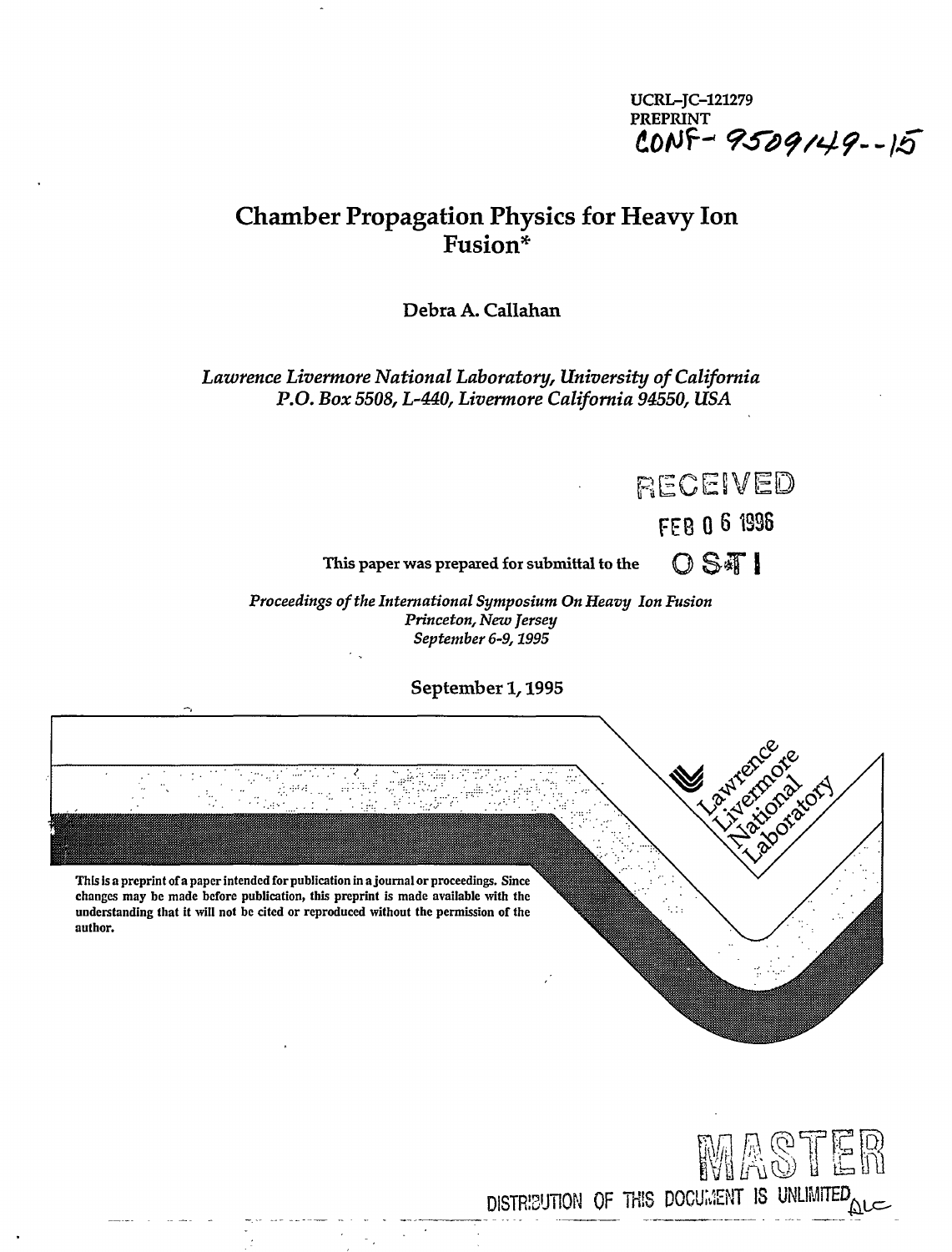UCRL-JC-121279 PREPRINT fiO/Uf- *9Sd<?/4<?--)5* 

RECEIVED

FEB 0 6 1S98

DOTOLION

## **Chamber Propagation Physics for Heavy Ion Fusion\***

Debra A. Callahan

*Lawrence Livermore National Laboratory, University of California*  P.O. Box 5508, L-440, Livermore California 94550, USA

This paper was prepared for submittal to the  $\bigcirc$   $\mathbb{S}\mathbb{F}$  |

*Proceedings of the International Symposium On Heavy Ion Fusion Princeton, New Jersey September 6-9,1995* 

September 1,1995

**This is a preprint of a paper intended for publication in a journal or proceedings. Since changes may be made before publication, this preprint is made available with the understanding that it will not be cited or reproduced without the permission of the author.** 

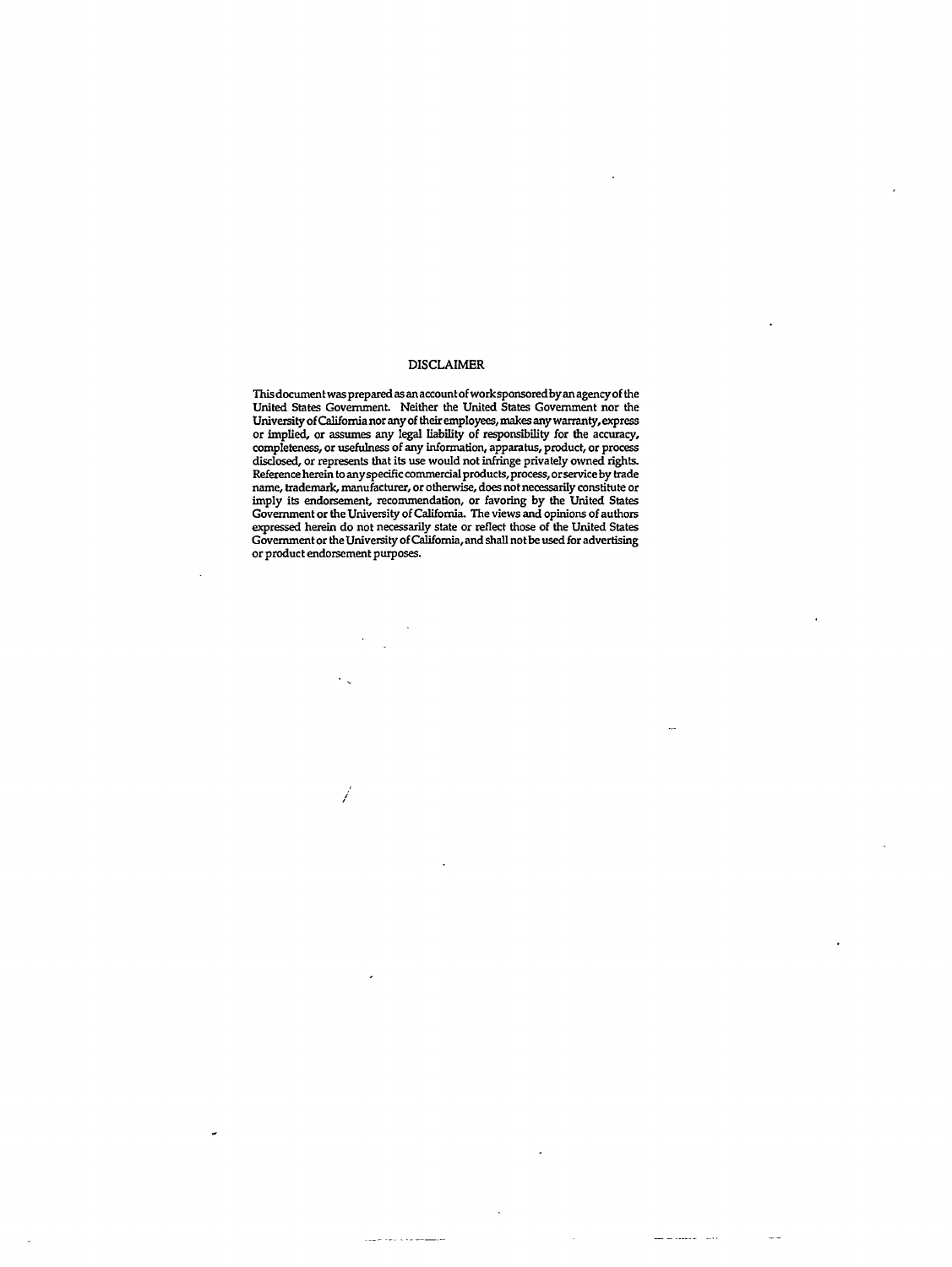#### DISCLAIMER

This document was prepared as an account of worksponsoredby an agency of the United States Government. Neither the United States Government nor the University of California nor any of their employees, makes any warranty, express or implied, or assumes any legal liability of responsibility for the accuracy, completeness, or usefulness of any information, apparatus, product, or process disclosed, or represents that its use would not infringe privately owned rights. Reference herein to any specific commercial products, process, or service by trade name, trademark, manufacturer, or otherwise, does not necessarily constitute or imply its endorsement, recommendation, or favoring by the United States Government or the University of California. The views and opinions of authors expressed herein do not necessarily state or reflect those of the United States Government or the University of California, and shall not be used for advertising or product endorsement purposes.

. . . . . . . . . . .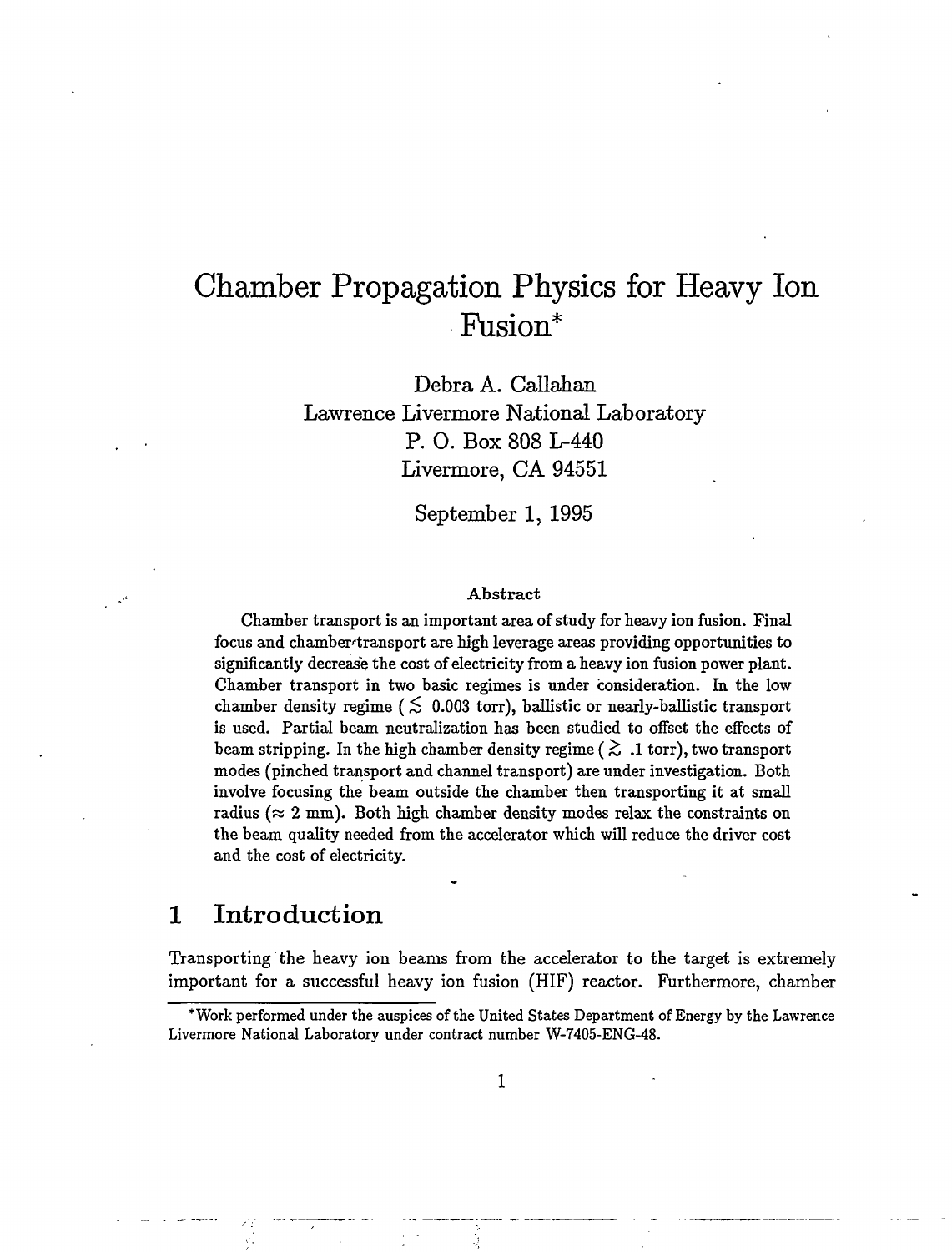# Chamber Propagation Physics for Heavy Ion Fusion\*

Debra A. Callahan Lawrence Livermore National Laboratory P. 0. Box 808 L-440 Livermore, CA 94551

September 1, 1995

#### Abstract

Chamber transport is an important area of study for heavy ion fusion. Final focus and chamber-transport are high leverage areas providing opportunities to significantly decrease the cost of electricity from a heavy ion fusion power plant. Chamber transport in two basic regimes is under consideration. In the low chamber density regime ( $\lesssim$  0.003 torr), ballistic or nearly-ballistic transport is used. Partial beam neutralization has been studied to offset the effects of beam stripping. In the high chamber density regime ( $\gtrsim$  .1 torr), two transport modes (pinched transport and channel transport) are under investigation. Both involve focusing the beam outside the chamber then transporting it at small radius ( $\approx 2$  mm). Both high chamber density modes relax the constraints on the beam quality needed from the accelerator which will reduce the driver cost and the cost of electricity.

## 1 Introduction

Transporting the heavy ion beams from the accelerator to the target is extremely important for a successful heavy ion fusion (HIF) reactor. Furthermore, chamber

<sup>\*</sup>Work performed under the auspices of the United States Department of Energy by the Lawrence Livermore National Laboratory under contract number W-7405-ENG-48.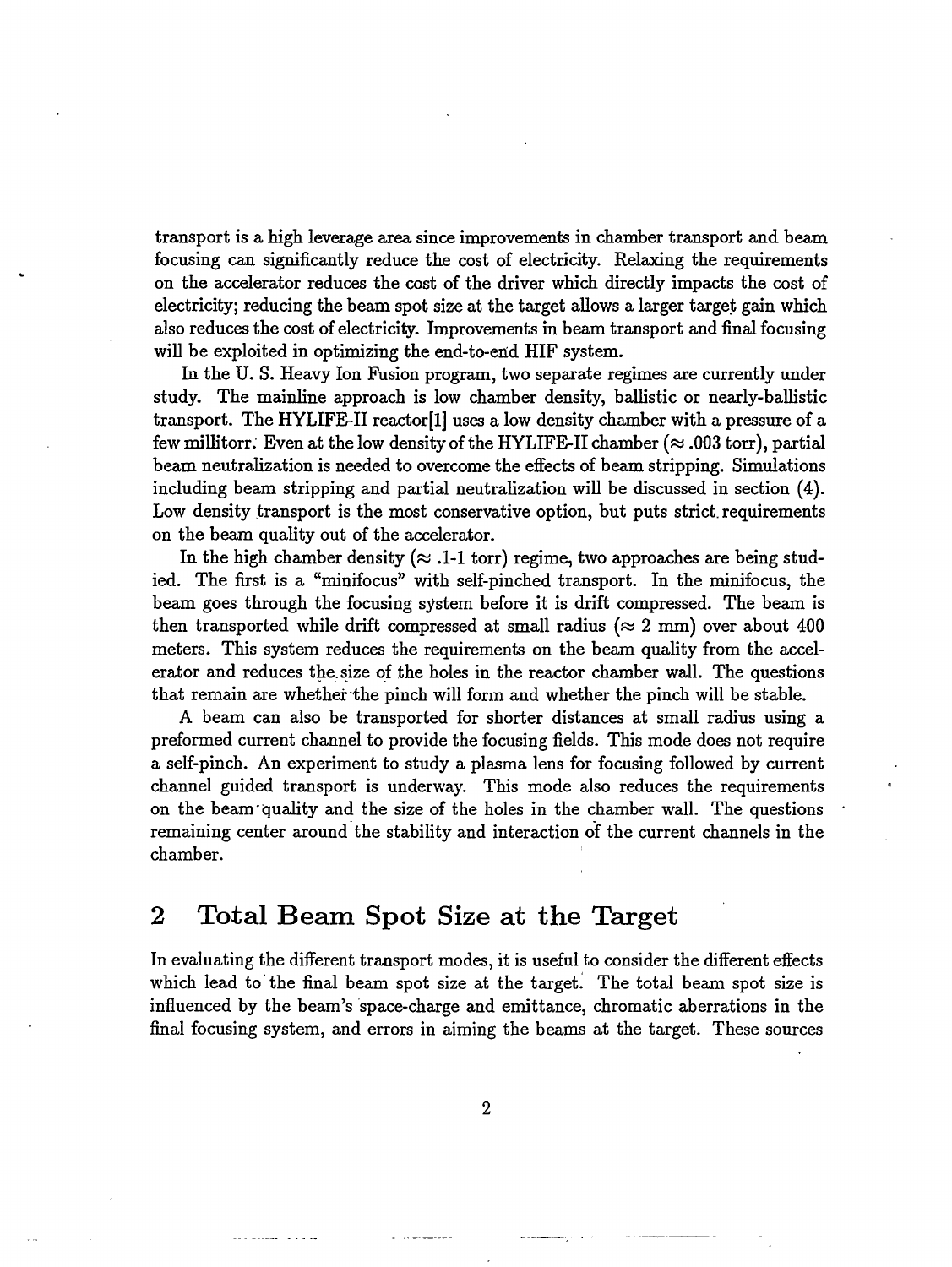transport is a high leverage area since improvements in chamber transport and beam focusing can significantly reduce the cost of electricity. Relaxing the requirements on the accelerator reduces the cost of the driver which directly impacts the cost of electricity; reducing the beam spot size at the target allows a larger target gain which also reduces the cost of electricity. Improvements in beam transport and final focusing will be exploited in optimizing the end-to-end HIF system.

In the U. S. Heavy Ion Fusion program, two separate regimes are currently under study. The mainline approach is low chamber density, ballistic or nearly-ballistic transport. The HYLIFE-II reactor[l] uses a low density chamber with a pressure of a few millitorr. Even at the low density of the HYLIFE-II chamber ( $\approx$  .003 torr), partial beam neutralization is needed to overcome the effects of beam stripping. Simulations including beam stripping and partial neutralization will be discussed in section (4). Low density transport is the most conservative option, but puts strict requirements on the beam quality out of the accelerator.

In the high chamber density ( $\approx$  .1-1 torr) regime, two approaches are being studied. The first is a "minifocus" with self-pinched transport. In the minifocus, the beam goes through the focusing system before it is drift compressed. The beam is then transported while drift compressed at small radius ( $\approx 2$  mm) over about 400 meters. This system reduces the requirements on the beam quality from the accelerator and reduces the. size of the holes in the reactor chamber wall. The questions that remain are whether "the pinch will form and whether the pinch will be stable.

A beam can also be transported for shorter distances at small radius using a preformed current channel to provide the focusing fields. This mode does not require a self-pinch. An experiment to study a plasma lens for focusing followed by current channel guided transport is underway. This mode also reduces the requirements on the beam quality and the size of the holes in the chamber wall. The questions remaining center around the stability and interaction of the current channels in the chamber.

## 2 Total Beam Spot Size at the Target

In evaluating the different transport modes, it is useful to consider the different effects which lead to the final beam spot size at the target. The total beam spot size is influenced by the beam's space-charge and emittance, chromatic aberrations in the final focusing system, and errors in aiming the beams at the target. These sources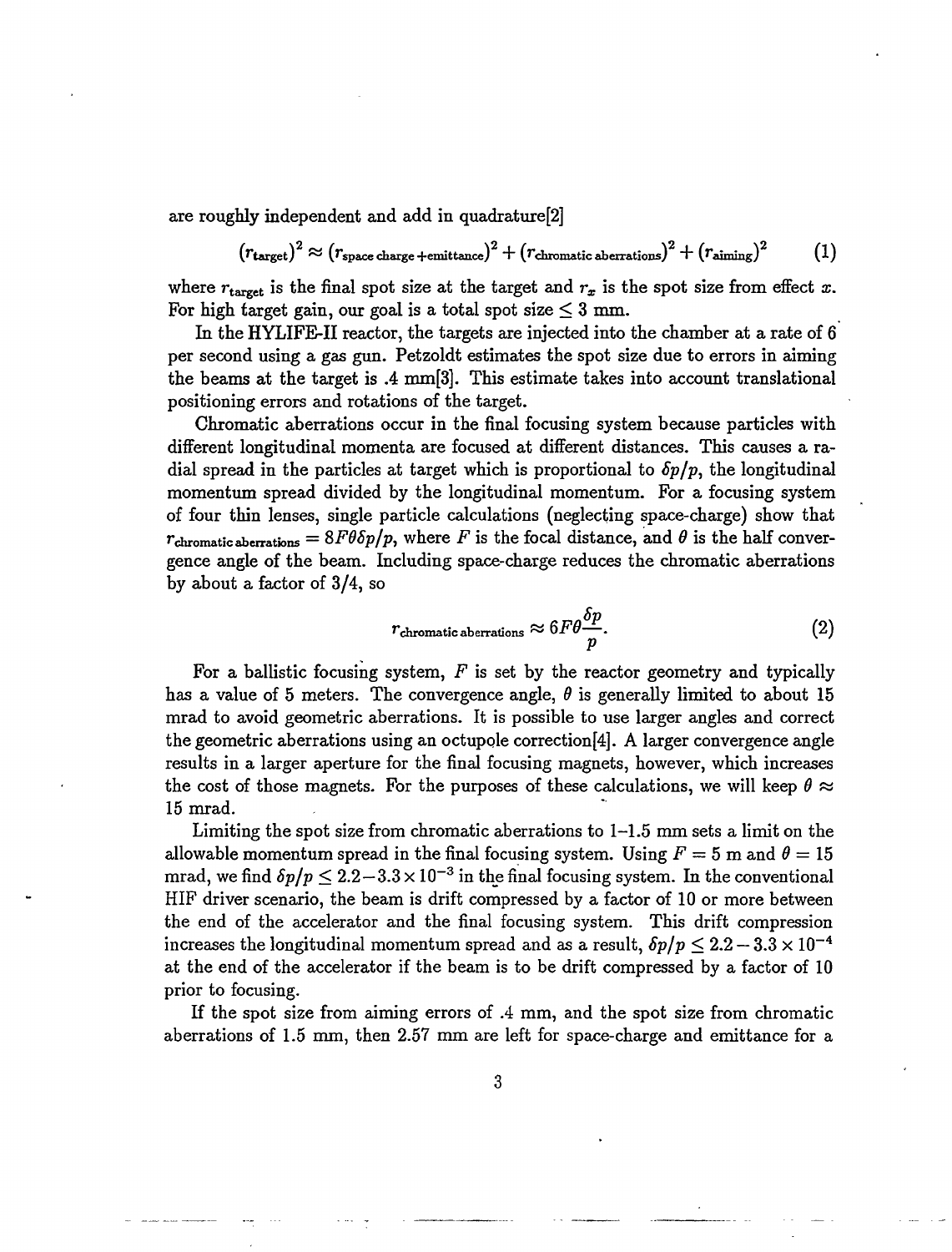are roughly independent and add in quadrature[2]

$$
(r_{\text{target}})^2 \approx (r_{\text{space charge}+\text{emittance}})^2 + (r_{\text{chromatic aberrations}})^2 + (r_{\text{aiming}})^2 \qquad (1)
$$

where  $r_{\text{target}}$  is the final spot size at the target and  $r_x$  is the spot size from effect x. For high target gain, our goal is a total spot size  $\leq 3$  mm.

In the HYLIFE-II reactor, the targets are injected into the chamber at a rate of 6 per second using a gas gun. Petzoldt estimates the spot size due to errors in aiming the beams at the target is .4 mm[3]. This estimate takes into account translational positioning errors and rotations of the target.

Chromatic aberrations occur in the final focusing system because particles with different longitudinal momenta are focused at different distances. This causes a radial spread in the particles at target which is proportional to *Sp/p,* the longitudinal momentum spread divided by the longitudinal momentum. For a focusing system of four thin lenses, single particle calculations (neglecting space-charge) show that  $r_{\text{chromatic aberrations}} = 8F\theta\delta p/p$ , where *F* is the focal distance, and  $\theta$  is the half convergence angle of the beam. Including space-charge reduces the chromatic aberrations by about a factor of 3/4, so

$$
r_{\text{chromatic aberrations}} \approx 6F\theta \frac{\delta p}{p}.\tag{2}
$$

For a ballistic focusing system, *F* is set by the reactor geometry and typically has a value of 5 meters. The convergence angle,  $\theta$  is generally limited to about 15 mrad to avoid geometric aberrations. It is possible to use larger angles and correct the geometric aberrations using an octupole correction<sup>[4]</sup>. A larger convergence angle results in a larger aperture for the final focusing magnets, however, which increases the cost of those magnets. For the purposes of these calculations, we will keep  $\theta \approx$ 15 mrad.

Limiting the spot size from chromatic aberrations to 1-1.5 mm sets a limit on the allowable momentum spread in the final focusing system. Using  $F = 5$  m and  $\theta = 15$ mrad, we find  $\delta p / p \leq 2.2 - 3.3 \times 10^{-3}$  in the final focusing system. In the conventional HIF driver scenario, the beam is drift compressed by a factor of 10 or more between the end of the accelerator and the final focusing system. This drift compression increases the longitudinal momentum spread and as a result,  $\delta p/p \leq 2.2 - 3.3 \times 10^{-4}$ at the end of the accelerator if the beam is to be drift compressed by a factor of 10 prior to focusing.

If the spot size from aiming errors of .4 mm, and the spot size from chromatic aberrations of 1.5 mm, then 2.57 mm are left for space-charge and emittance for a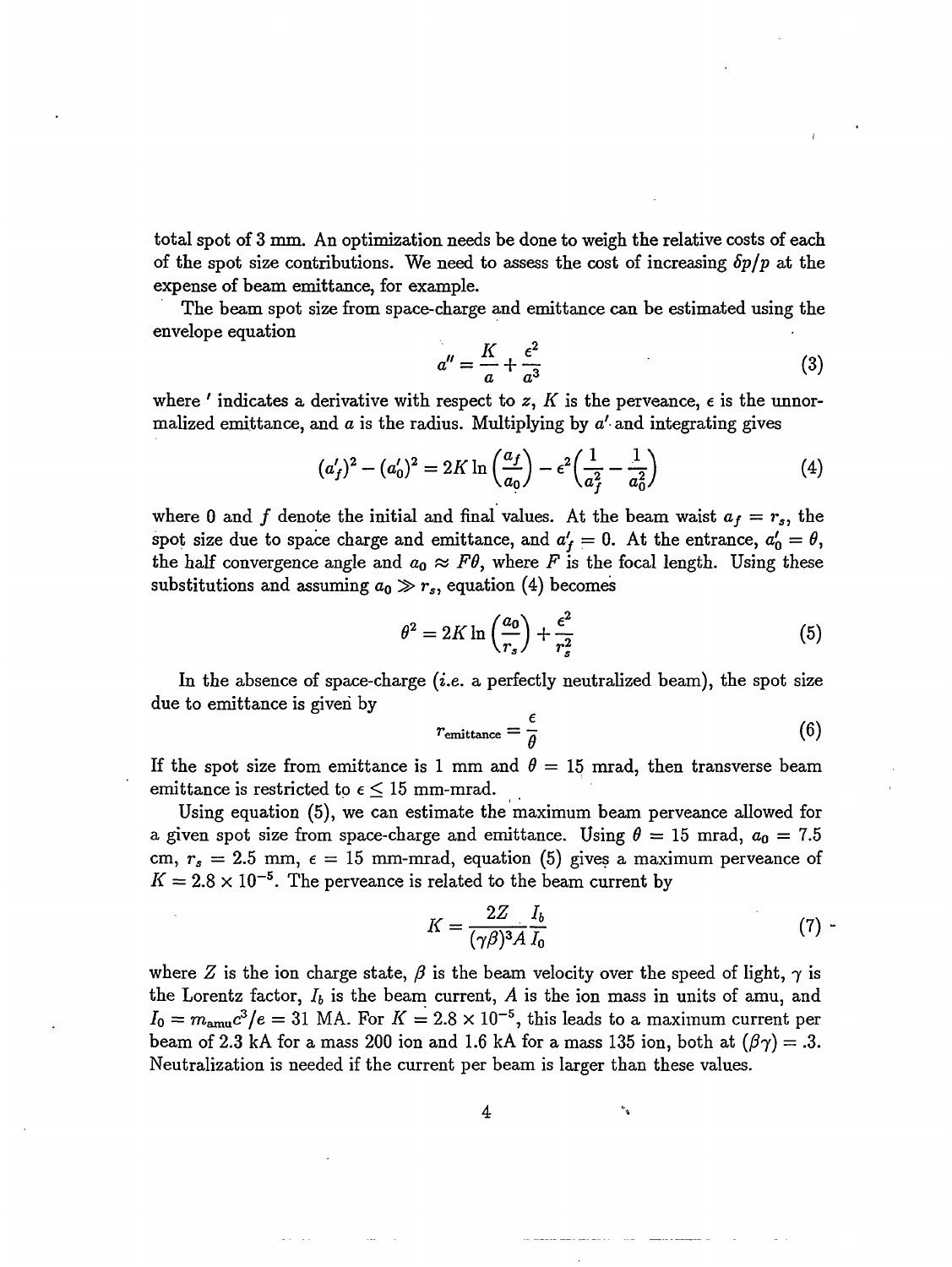total spot of 3 mm. An optimization needs be done to weigh the relative costs of each of the spot size contributions. We need to assess the cost of increasing *6p/p* at the expense of beam emittance, for example.

The beam spot size from space-charge and emittance can be estimated using the envelope equation

$$
a'' = \frac{K}{a} + \frac{\epsilon^2}{a^3} \tag{3}
$$

where ' indicates a derivative with respect to z, K is the perveance,  $\epsilon$  is the unnormalized emittance, and  $a$  is the radius. Multiplying by  $a'$  and integrating gives

$$
(a'_f)^2 - (a'_0)^2 = 2K \ln \left(\frac{a_f}{a_0}\right) - \epsilon^2 \left(\frac{1}{a_f^2} - \frac{1}{a_0^2}\right) \tag{4}
$$

where 0 and f denote the initial and final values. At the beam waist  $a_f = r_s$ , the spot size due to space charge and emittance, and  $a'_f = 0$ . At the entrance,  $a'_0 = \theta$ , the half convergence angle and  $a_0 \approx F\theta$ , where F is the focal length. Using these substitutions and assuming  $a_0 \gg r_s$ , equation (4) becomes

$$
\theta^2 = 2K \ln \left(\frac{a_0}{r_s}\right) + \frac{\epsilon^2}{r_s^2} \tag{5}
$$

In the absence of space-charge *(i.e.* a perfectly neutralized beam), the spot size due to emittance is given by

$$
r_{\text{emittance}} = \frac{\epsilon}{\theta} \tag{6}
$$

If the spot size from emittance is 1 mm and  $\theta = 15$  mrad, then transverse beam emittance is restricted to  $\epsilon \leq 15$  mm-mrad.

Using equation (5), we can estimate the maximum beam perveance allowed for a given spot size from space-charge and emittance. Using  $\theta = 15$  mrad,  $a_0 = 7.5$ cm,  $r_s = 2.5$  mm,  $\epsilon = 15$  mm-mrad, equation (5) gives a maximum perveance of  $K = 2.8 \times 10^{-5}$ . The perveance is related to the beam current by

$$
K = \frac{2Z}{(\gamma \beta)^3 A} \frac{I_b}{I_0} \tag{7}
$$

٩

where Z is the ion charge state,  $\beta$  is the beam velocity over the speed of light,  $\gamma$  is the Lorentz factor,  $I_b$  is the beam current,  $A$  is the ion mass in units of amu, and  $I_0 = m_{\text{amu}}c^3/e = 31$  MA. For  $K = 2.8 \times 10^{-5}$ , this leads to a maximum current per beam of 2.3 kA for a mass 200 ion and 1.6 kA for a mass 135 ion, both at  $(\beta \gamma) = .3$ . Neutralization is needed if the current per beam is larger than these values.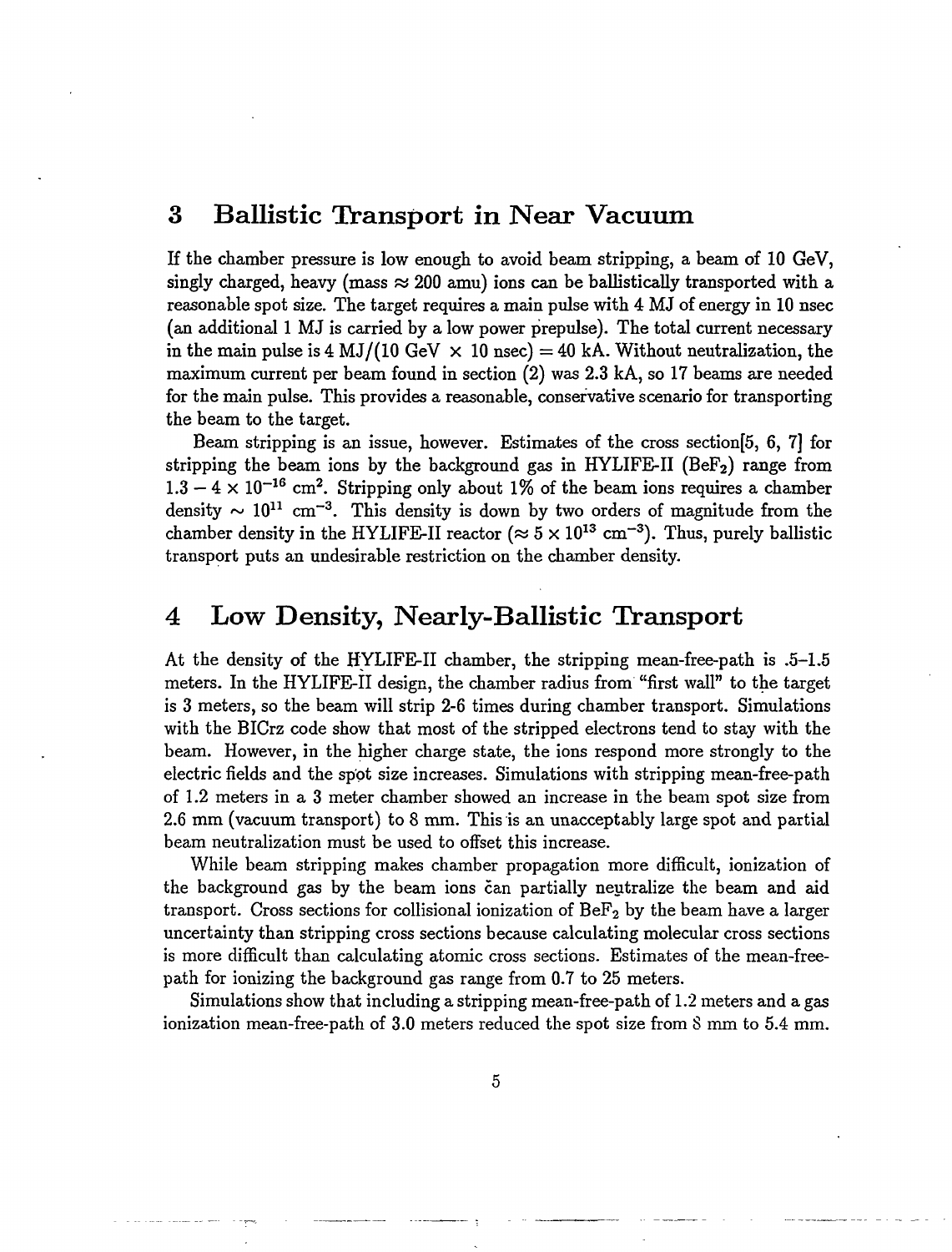## 3 Ballistic Transport in Near Vacuum

If the chamber pressure is low enough to avoid beam stripping, a beam of 10 GeV, singly charged, heavy (mass  $\approx$  200 amu) ions can be ballistically transported with a reasonable spot size. The target requires a main pulse with 4 MJ of energy in 10 nsec (an additional 1 MJ is carried by a low power prepulse). The total current necessary in the main pulse is 4 MJ/(10 GeV  $\times$  10 nsec) = 40 kA. Without neutralization, the maximum current per beam found in section (2) was 2.3 kA, so 17 beams are needed for the main pulse. This provides a reasonable, conservative scenario for transporting the beam to the target.

Beam stripping is an issue, however. Estimates of the cross section[5, 6, 7] for stripping the beam ions by the background gas in HYLIFE-II ( $B\text{eF}_2$ ) range from  $1.3 - 4 \times 10^{-16}$  cm<sup>2</sup>. Stripping only about 1% of the beam ions requires a chamber density  $\sim 10^{11}$  cm<sup>-3</sup>. This density is down by two orders of magnitude from the chamber density in the HYLIFE-II reactor ( $\approx 5 \times 10^{13} \text{ cm}^{-3}$ ). Thus, purely ballistic transport puts an undesirable restriction on the chamber density.

## 4 Low Density, Nearly-Ballistic Transport

At the density of the HYLIFE-II chamber, the stripping mean-free-path is .5-1.5 meters. In the HYLIFE-II design, the chamber radius from "first wall" to the target is 3 meters, so the beam will strip 2-6 times during chamber transport. Simulations with the BICrz code show that most of the stripped electrons tend to stay with the beam. However, in the higher charge state, the ions respond more strongly to the electric fields and the spot size increases. Simulations with stripping mean-free-path of 1.2 meters in a 3 meter chamber showed an increase in the beam spot size from 2.6 mm (vacuum transport) to 8 mm. This is an unacceptably large spot and partial beam neutralization must be used to offset this increase.

While beam stripping makes chamber propagation more difficult, ionization of the background gas by the beam ions can partially neutralize the beam and aid transport. Cross sections for collisional ionization of  $\mathrm{BeF}_2$  by the beam have a larger uncertainty than stripping cross sections because calculating molecular cross sections is more difficult than calculating atomic cross sections. Estimates of the mean-freepath for ionizing the background gas range from 0.7 to 25 meters.

Simulations show that including a stripping mean-free-path of 1.2 meters and a gas ionization mean-free-path of 3.0 meters reduced the spot size from S mm to 5.4 mm.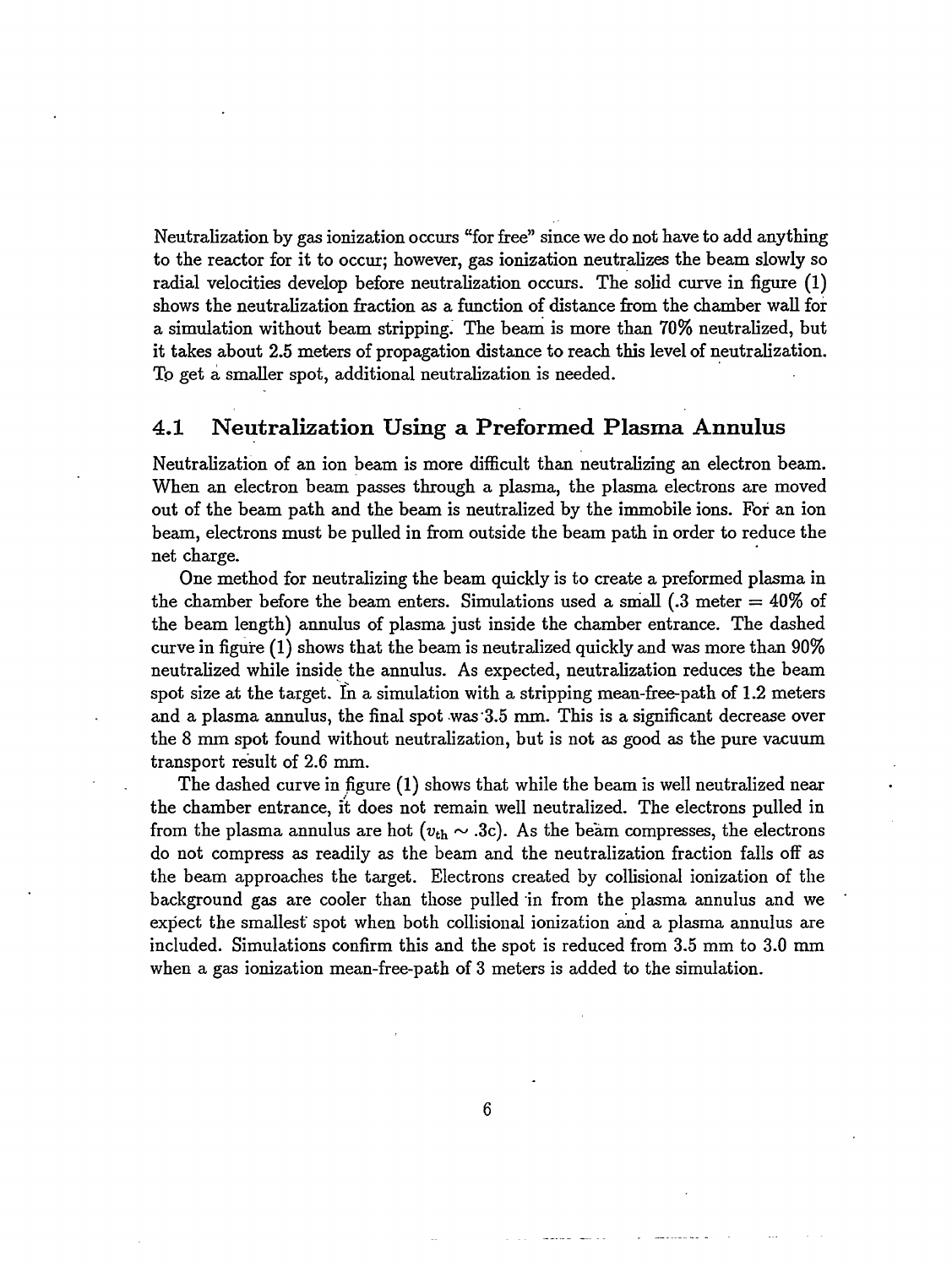Neutralization by gas ionization occurs "for free" since we do not have to add anything to the reactor for it to occur; however, gas ionization neutralizes the beam slowly so radial velocities develop before neutralization occurs. The solid curve in figure (1) shows the neutralization fraction as a function of distance from the chamber wall for a simulation without beam stripping. The beam is more than 70% neutralized, but it takes about 2.5 meters of propagation distance to reach this level of neutralization. To get a smaller spot, additional neutralization is needed.

### 4.1 Neutralization Using a Preformed Plasma Annulus

Neutralization of an ion beam is more difficult than neutralizing an electron beam. When an electron beam passes through a plasma, the plasma electrons are moved out of the beam path and the beam is neutralized by the immobile ions. For an ion beam, electrons must be pulled in from outside the beam path in order to reduce the net charge.

One method for neutralizing the beam quickly is to create a preformed plasma in the chamber before the beam enters. Simulations used a small  $(.3 \text{ meter} = 40\% \text{ of}$ the beam length) annulus of plasma just inside the chamber entrance. The dashed curve in figure (1) shows that the beam is neutralized quickly and was more than 90% neutralized while inside the annulus. As expected, neutralization reduces the beam spot size at the target. In a simulation with a stripping mean-free-path of 1.2 meters and a plasma annulus, the final spot was'3.5 mm. This is a significant decrease over the 8 mm spot found without neutralization, but is not as good as the pure vacuum transport result of 2.6 mm.

The dashed curve in figure (1) shows that while the beam is well neutralized near the chamber entrance, it does not remain well neutralized. The electrons pulled in from the plasma annulus are hot  $(v_{th} \sim .3c)$ . As the beam compresses, the electrons do not compress as readily as the beam and the neutralization fraction falls off as the beam approaches the target. Electrons created by collisional ionization of the background gas are cooler than those pulled in from the plasma annulus and we expect the smallest spot when both collisional ionization and a plasma annulus are included. Simulations confirm this and the spot is reduced from 3.5 mm to 3.0 mm when a gas ionization mean-free-path of 3 meters is added to the simulation.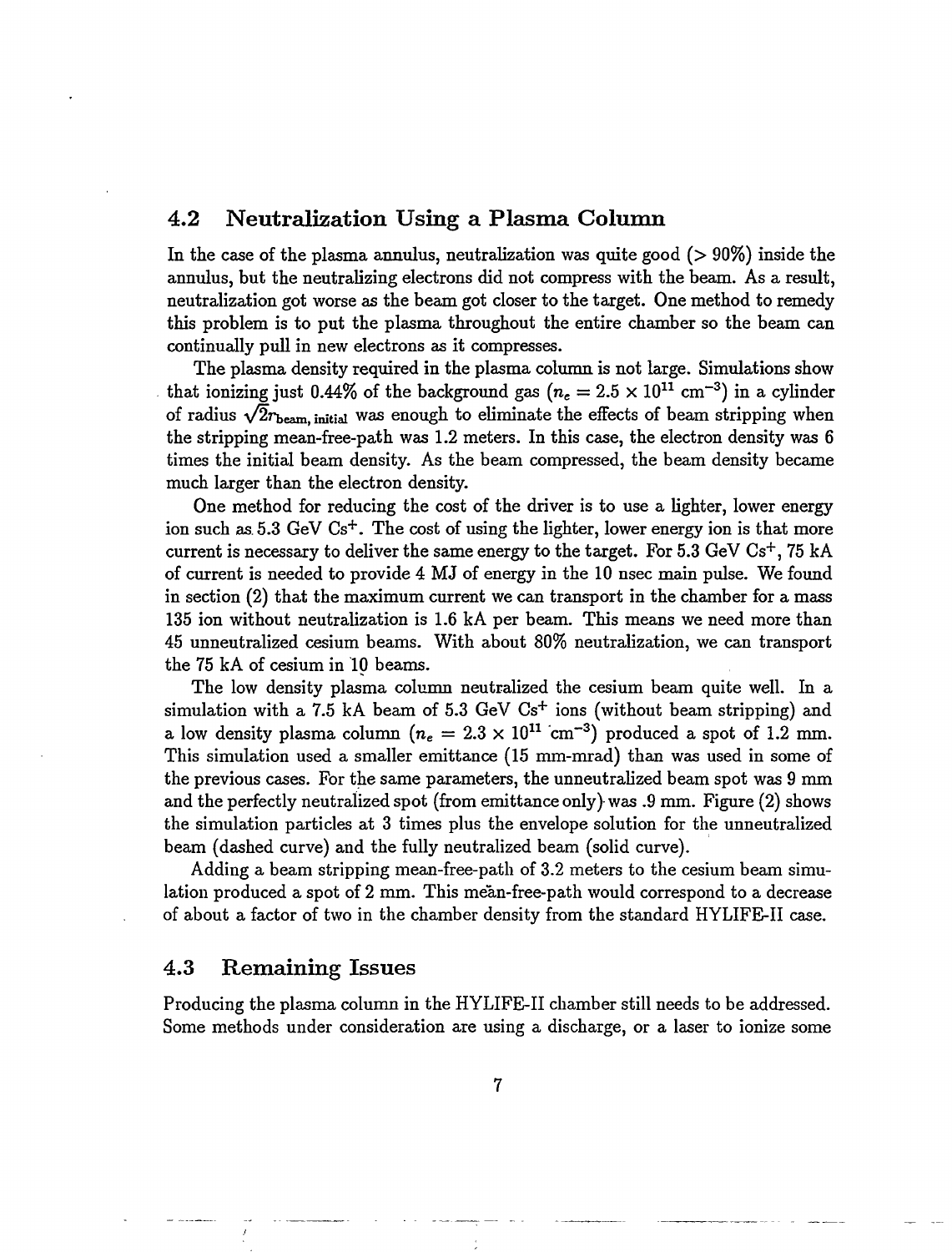#### 4.2 Neutralization Using a Plasma Column

In the case of the plasma annulus, neutralization was quite good  $(> 90\%)$  inside the annulus, but the neutralizing electrons did not compress with the beam. As a result, neutralization got worse as the beam got closer to the target. One method to remedy this problem is to put the plasma throughout the entire chamber so the beam can continually pull in new electrons as it compresses.

The plasma density required in the plasma column is not large. Simulations show that ionizing just 0.44% of the background gas ( $n_e = 2.5 \times 10^{11}$  cm<sup>-3</sup>) in a cylinder of radius  $\sqrt{2}r_{\text{beam}}$ , initial was enough to eliminate the effects of beam stripping when the stripping mean-free-path was 1.2 meters. In this case, the electron density was 6 times the initial beam density. As the beam compressed, the beam density became much larger than the electron density.

One method for reducing the cost of the driver is to use a lighter, lower energy ion such as  $5.3 \text{ GeV Cs}^+$ . The cost of using the lighter, lower energy ion is that more current is necessary to deliver the same energy to the target. For  $5.3~\mathrm{GeV} \;\mathrm{Cs^+},$   $75~\mathrm{kA}$ of current is needed to provide 4 MJ of energy in the 10 nsec main pulse. We found in section (2) that the maximum current we can transport in the chamber for a mass 135 ion without neutralization is 1.6 kA per beam. This means we need more than 45 unneutralized cesium beams. With about 80% neutralization, we can transport the 75 kA of cesium in 10 beams.

The low density plasma column neutralized the cesium beam quite well. In a simulation with a 7.5 kA beam of 5.3 GeV  $Cs<sup>+</sup>$  ions (without beam stripping) and a low density plasma column  $(n_e = 2.3 \times 10^{11} \text{ cm}^{-3})$  produced a spot of 1.2 mm. This simulation used a smaller emittance (15 mm-mrad) than was used in some of the previous cases. For the same parameters, the unneutralized beam spot was 9 mm and the perfectly neutralized spot (from emittance only} was .9 mm. Figure (2) shows the simulation particles at 3 times plus the envelope solution for the unneutralized beam (dashed curve) and the fully neutralized beam (solid curve).

Adding a beam stripping mean-free-path of 3.2 meters to the cesium beam simulation produced a spot of 2 mm. This mean-free-path would correspond to a decrease of about a factor of two in the chamber density from the standard HYLIFE-II case.

#### 4.3 Remaining Issues

Producing the plasma column in the HYLIFE-II chamber still needs to be addressed. Some methods under consideration are using a discharge, or a laser to ionize some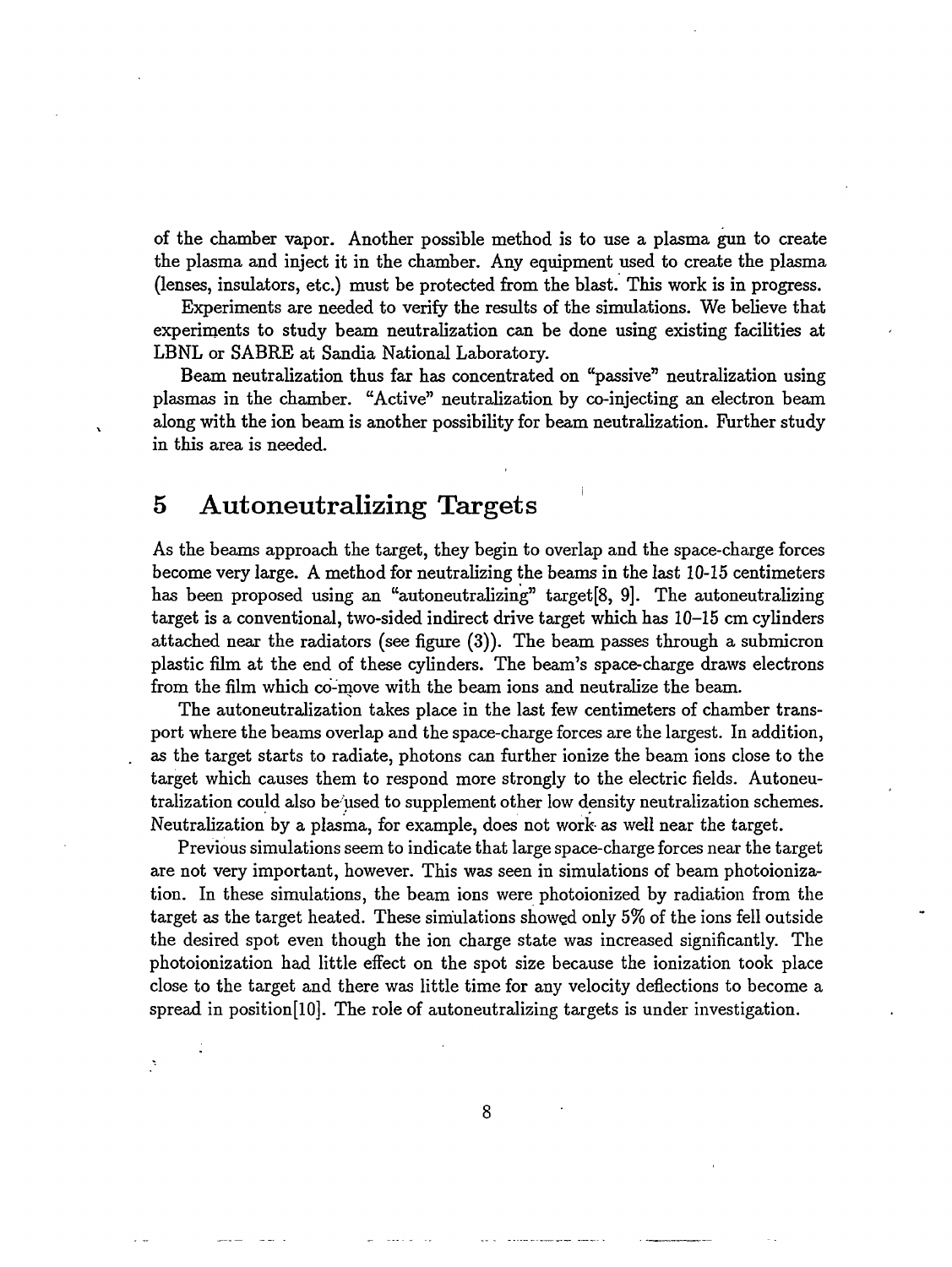of the chamber vapor. Another possible method is to use a plasma gun to create the plasma and inject it in the chamber. Any equipment used to create the plasma (lenses, insulators, etc.) must be protected from the blast. This work is in progress.

Experiments are needed to verify the results of the simulations. We believe that experiments to study beam neutralization can be done using existing facilities at LBNL or SABRE at Sandia National Laboratory.

Beam neutralization thus far has concentrated on "passive" neutralization using plasmas in the chamber. "Active" neutralization by co-injecting an electron beam along with the ion beam is another possibility for beam neutralization. Further study in this area is needed.

## 5 Autoneutralizing Targets

As the beams approach the target, they begin to overlap and the space-charge forces become very large. A method for neutralizing the beams in the last 10-15 centimeters has been proposed using an "autoneutralizing" target[8, 9]. The autoneutralizing target is a conventional, two-sided indirect drive target which has 10-15 cm cylinders attached near the radiators (see figure (3)). The beam passes through a submicron plastic film at the end of these cylinders. The beam's space-charge draws electrons from the film which co-move with the beam ions and neutralize the beam.

The autoneutralization takes place in the last few centimeters of chamber transport where the beams overlap and the space-charge forces are the largest. In addition, as the target starts to radiate, photons can further ionize the beam ions close to the target which causes them to respond more strongly to the electric fields. Autoneutralization could also be used to supplement other low density neutralization schemes. Neutralization by a plasma, for example, does not work- as well near the target.

Previous simulations seem to indicate that large space-charge forces near the target are not very important, however. This was seen in simulations of beam photoionization. In these simulations, the beam ions were photoionized by radiation from the target as the target heated. These simulations showed only 5% of the ions fell outside the desired spot even though the ion charge state was increased significantly. The photoionization had little effect on the spot size because the ionization took place close to the target and there was little time for any velocity deflections to become a spread in position[10]. The role of autoneutralizing targets is under investigation.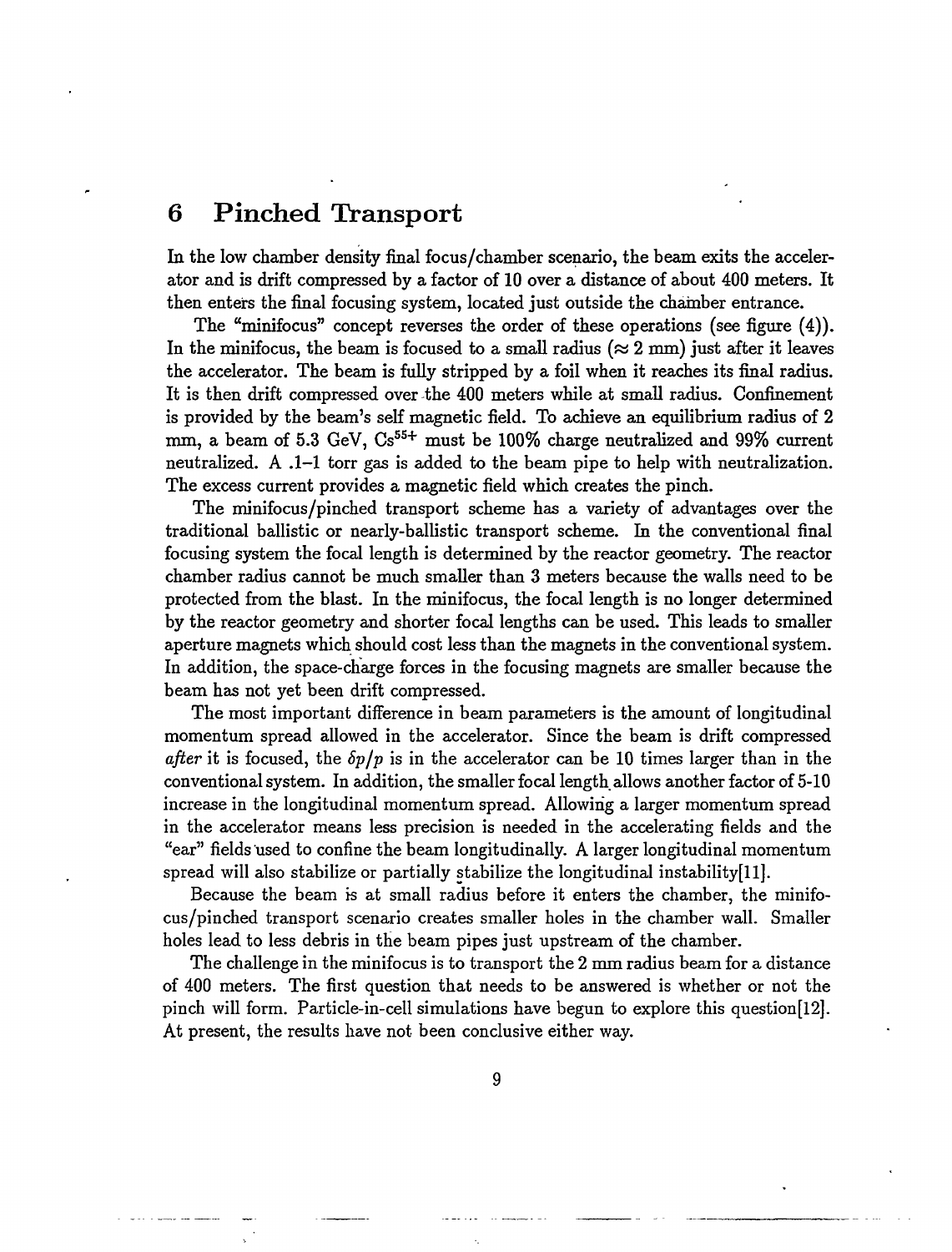## **6 Pinched Transport**

In the low chamber density final focus/chamber scenario, the beam exits the accelerator and is drift compressed by a factor of 10 over a distance of about 400 meters. It then enters the final focusing system, located just outside the chamber entrance.

The "minifocus" concept reverses the order of these operations (see figure (4)). In the minifocus, the beam is focused to a small radius ( $\approx 2$  mm) just after it leaves the accelerator. The beam is fully stripped by a foil when it reaches its final radius. It is then drift compressed over the 400 meters while at small radius. Confinement is provided by the beam's self magnetic field. To achieve an equilibrium radius of 2 mm, a beam of 5.3 GeV,  $Cs^{55+}$  must be 100% charge neutralized and 99% current neutralized. A .1-1 torr gas is added to the beam pipe to help with neutralization. The excess current provides a magnetic field which creates the pinch.

The minifocus/pinched transport scheme has a variety of advantages over the traditional ballistic or nearly-ballistic transport scheme. In the conventional final focusing system the focal length is determined by the reactor geometry. The reactor chamber radius cannot be much smaller than 3 meters because the walls need to be protected from the blast. In the minifocus, the focal length is no longer determined by the reactor geometry and shorter focal lengths can be used. This leads to smaller aperture magnets which should cost less than the magnets in the conventional system. In addition, the space-charge forces in the focusing magnets are smaller because the beam has not yet been drift compressed.

The most important difference in beam parameters is the amount of longitudinal momentum spread allowed in the accelerator. Since the beam is drift compressed *after* it is focused, the *Sp/p* is in the accelerator can be 10 times larger than in the conventional system. In addition, the smaller focal length allows another factor of 5-10 increase in the longitudinal momentum spread. Allowing a larger momentum spread in the accelerator means less precision is needed in the accelerating fields and the "ear" fields used to confine the beam longitudinally. A larger longitudinal momentum spread will also stabilize or partially stabilize the longitudinal instabilityfll].

Because the beam is at small radius before it enters the chamber, the minifocus/pinched transport scenario creates smaller holes in the chamber wall. Smaller holes lead to less debris in the beam pipes just upstream of the chamber.

The challenge in the minifocus is to transport the 2 mm radius beam for a distance of 400 meters. The first question that needs to be answered is whether or not the pinch will form. Particle-in-cell simulations have begun to explore this question [12]. At present, the results have not been conclusive either way.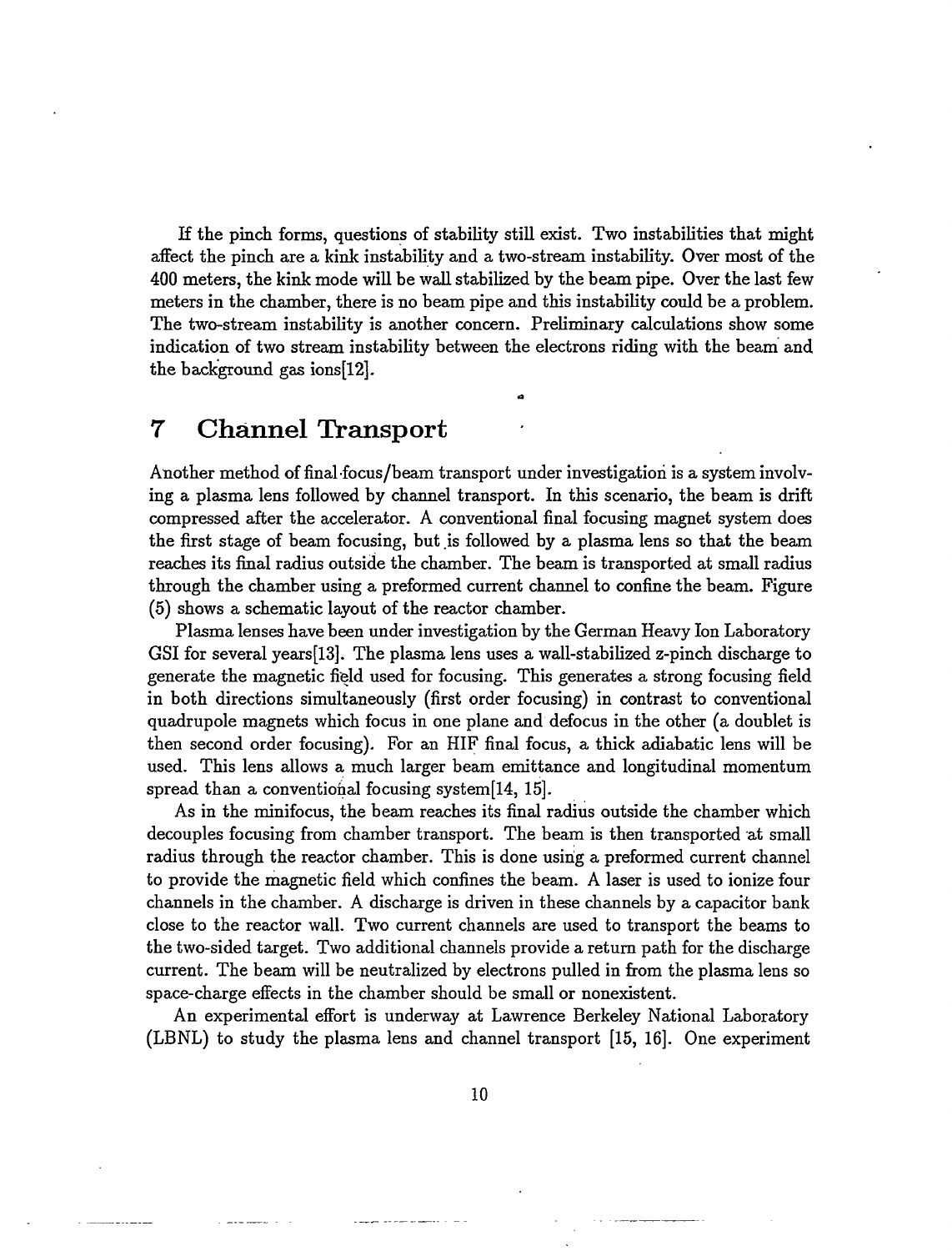If the pinch forms, questions of stability still exist. Two instabilities that might affect the pinch are a kink instability and a two-stream instability. Over most of the 400 meters, the kink mode will be wall stabilized by the beam pipe. Over the last few meters in the chamber, there is no beam pipe and this instability could be a problem. The two-stream instability is another concern. Preliminary calculations show some indication of two stream instability between the electrons riding with the beam and the background gas ions[12].

### 7 Channel Transport

Another method of final focus/beam transport under investigation is a system involving a plasma lens followed by channel transport. In this scenario, the beam is drift compressed after the accelerator. A conventional final focusing magnet system does the first stage of beam focusing, but is followed by a plasma lens so that the beam reaches its final radius outside the chamber. The beam is transported at small radius through the chamber using a preformed current channel to confine the beam. Figure (5) shows a schematic layout of the reactor chamber.

Plasma lenses have been under investigation by the German Heavy Ion Laboratory GSI for several years[13]. The plasma lens uses a wall-stabilized z-pinch discharge to generate the magnetic field used for focusing. This generates a strong focusing field in both directions simultaneously (first order focusing) in contrast to conventional quadrupole magnets which focus in one plane and defocus in the other (a doublet is then second order focusing). For an HIF final focus, a thick adiabatic lens will be used. This lens allows a much larger beam emittance and longitudinal momentum spread than a conventional focusing system[14, 15].

As in the minifocus, the beam reaches its final radius outside the chamber which decouples focusing from chamber transport. The beam is then transported at small radius through the reactor chamber. This is done using a preformed current channel to provide the magnetic field which confines the beam. A laser is used to ionize four channels in the chamber. A discharge is driven in these channels by a capacitor bank close to the reactor wall. Two current channels are used to transport the beams to the two-sided target. Two additional channels provide a return path for the discharge current. The beam will be neutralized by electrons pulled in from the plasma lens so space-charge effects in the chamber should be small or nonexistent.

An experimental effort is underway at Lawrence Berkeley National Laboratory (LBNL) to study the plasma lens and channel transport [15, 16]. One experiment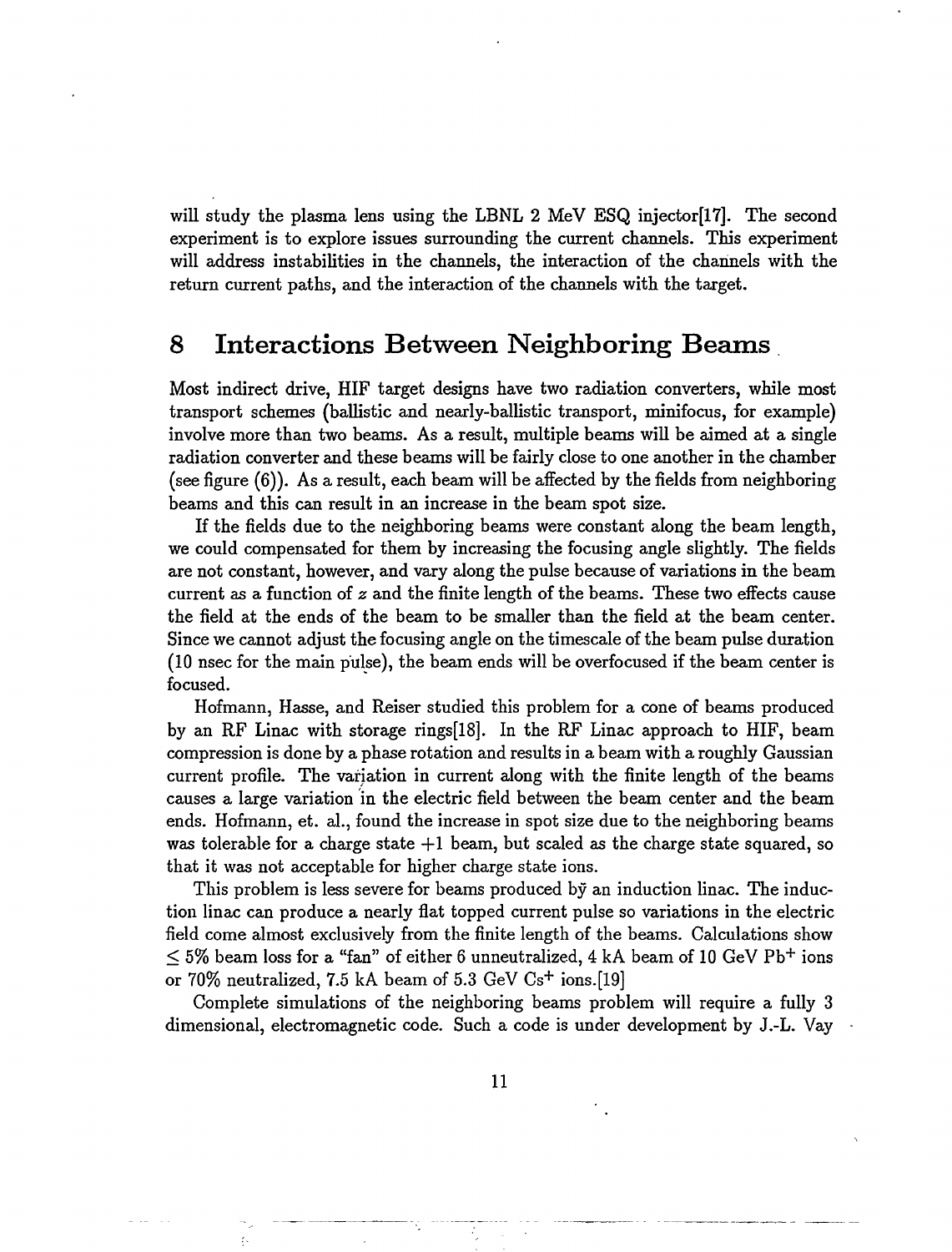will study the plasma lens using the LBNL 2 MeV ESQ injector[17]. The second experiment is to explore issues surrounding the current channels. This experiment will address instabilities in the channels, the interaction of the channels with the return current paths, and the interaction of the channels with the target.

## **8 Interactions Between Neighboring Beams**

Most indirect drive, HIF target designs have two radiation converters, while most transport schemes (ballistic and nearly-ballistic transport, minifocus, for example) involve more than two beams. As a result, multiple beams will be aimed at a single radiation converter and these beams will be fairly close to one another in the chamber (see figure (6)). As a result, each beam will be affected by the fields from neighboring beams and this can result in an increase in the beam spot size.

If the fields due to the neighboring beams were constant along the beam length, we could compensated for them by increasing the focusing angle slightly. The fields are not constant, however, and vary along the pulse because of variations in the beam current as a function of *z* and the finite length of the beams. These two effects cause the field at the ends of the beam to be smaller than the field at the beam center. Since we cannot adjust the focusing angle on the timescale of the beam pulse duration (10 nsec for the main pulse), the beam ends will be overfocused if the beam center is focused.

Hofmann, Hasse, and Reiser studied this problem for a cone of beams produced by an RF Linac with storage rings[18]. In the RF Linac approach to HIF, beam compression is done by a phase rotation and results in a beam with a roughly Gaussian current profile. The variation in current along with the finite length of the beams causes a large variation in the electric field between the beam center and the beam ends. Hofmann, et. al., found the increase in spot size due to the neighboring beams was tolerable for a charge state  $+1$  beam, but scaled as the charge state squared, so that it was not acceptable for higher charge state ions.

This problem is less severe for beams produced by an induction linac. The induction linac can produce a nearly flat topped current pulse so variations in the electric field come almost exclusively from the finite length of the beams. Calculations show  $\leq$  5% beam loss for a "fan" of either 6 unneutralized, 4 kA beam of 10 GeV Pb<sup>+</sup> ions or 70% neutralized, 7.5 kA beam of 5.3 GeV  $Cs<sup>+</sup>$  ions. [19]

Complete simulations of the neighboring beams problem will require a fully 3 dimensional, electromagnetic code. Such a code is under development by J.-L. Vay

ķ.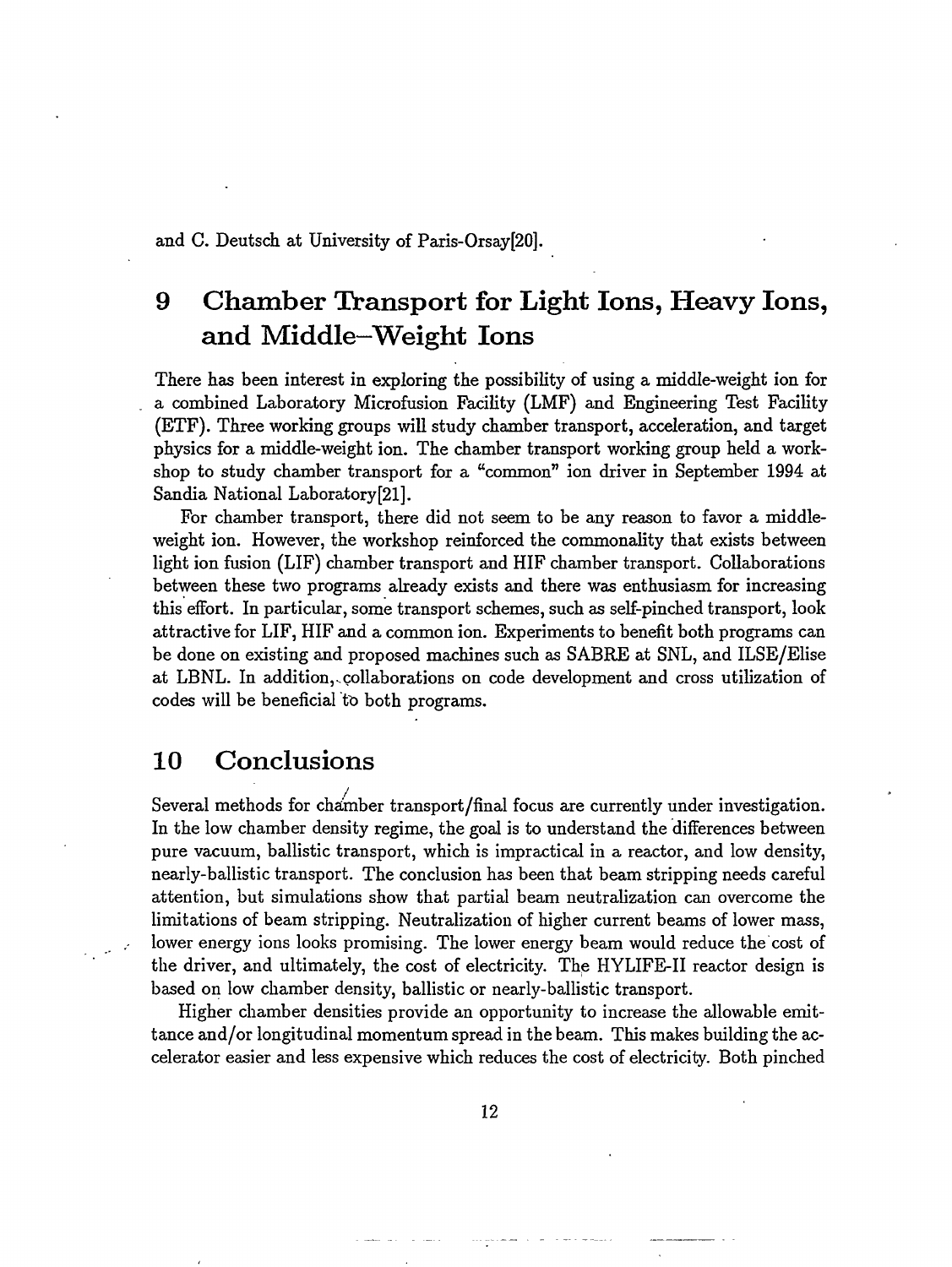and C. Deutsch at University of Paris-Orsay[20].

## 9 Chamber Transport for Light Ions, Heavy Ions, and Middle—Weight Ions

There has been interest in exploring the possibility of using a middle-weight ion for a combined Laboratory Microfusion Facility (LMF) and Engineering Test Facility (ETF). Three working groups will study chamber transport, acceleration, and target physics for a middle-weight ion. The chamber transport working group held a workshop to study chamber transport for a "common" ion driver in September 1994 at Sandia National Laboratory[21].

For chamber transport, there did not seem to be any reason to favor a middleweight ion. However, the workshop reinforced the commonality that exists between light ion fusion (LIF) chamber transport and HIF chamber transport. Collaborations between these two programs already exists and there was enthusiasm for increasing this effort. In particular, some transport schemes, such as self-pinched transport, look attractive for LIF, HIF and a common ion. Experiments to benefit both programs can be done on existing and proposed machines such as SABRE at SNL, and ILSE/Elise at LBNL. In addition,-collaborations on code development and cross utilization of codes will be beneficial *ti>* both programs.

## 10 Conclusions

Several methods for cha'mber transport/final focus are currently under investigation. In the low chamber density regime, the goal is to understand the differences between pure vacuum, ballistic transport, which is impractical in a reactor, and low density, nearly-ballistic transport. The conclusion has been that beam stripping needs careful attention, but simulations show that partial beam neutralization can overcome the limitations of beam stripping. Neutralization of higher current beams of lower mass, lower energy ions looks promising. The lower energy beam would reduce the cost of the driver, and ultimately, the cost of electricity. The HYLIFE-II reactor design is based on low chamber density, ballistic or nearly-ballistic transport.

Higher chamber densities provide an opportunity to increase the allowable emittance and/or longitudinal momentum spread in the beam. This makes building the accelerator easier and less expensive which reduces the cost of electricity. Both pinched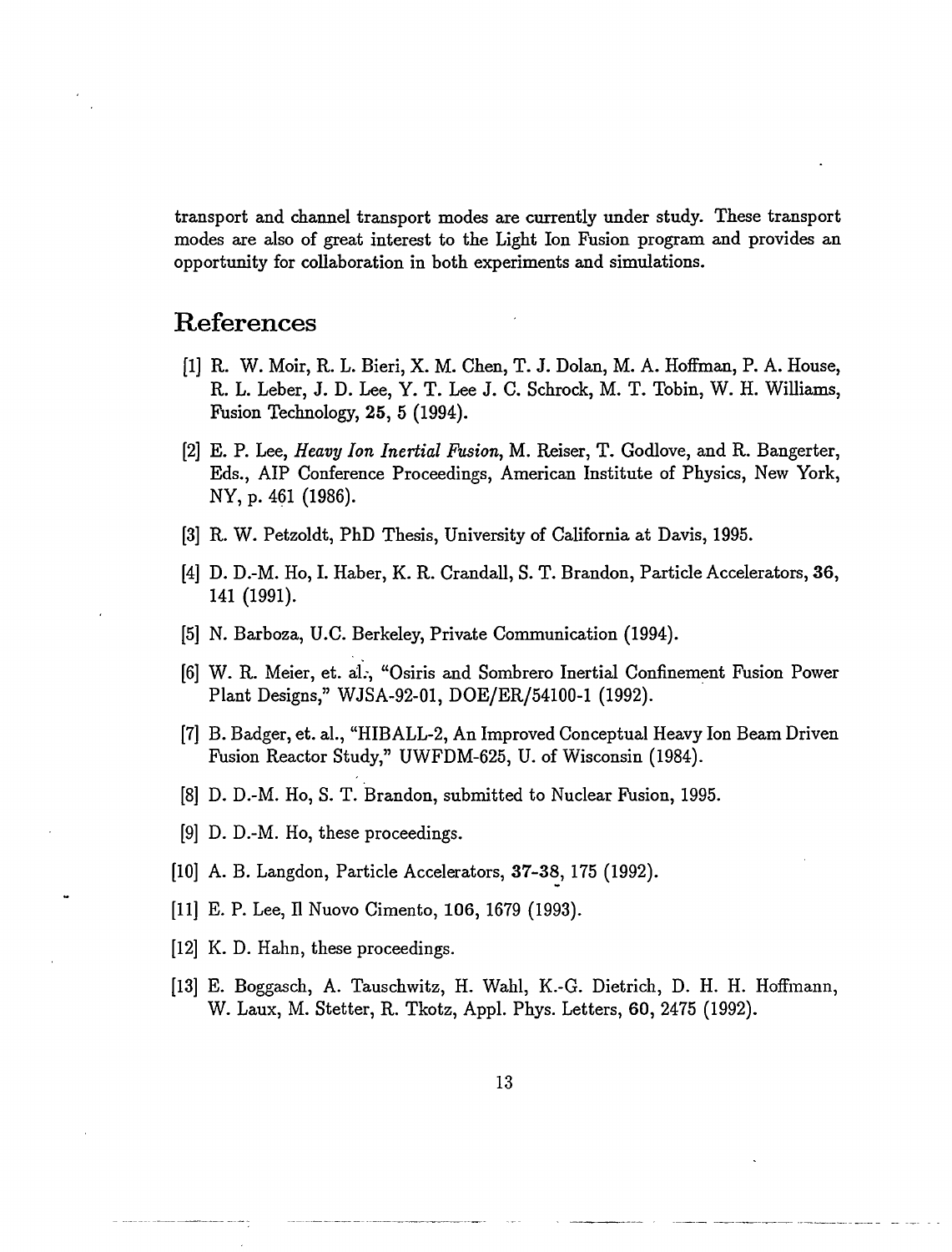transport and channel transport modes are currently under study. These transport modes are also of great interest to the Light Ion Fusion program and provides an opportunity for collaboration in both experiments and simulations.

## References

- [1] R. W. Moir, R. L. Bieri, X. M. Chen, T. J. Dolan, M. A. Hoffman, P. A. House, R. L. Leber, J. D. Lee, Y. T. Lee J. C. Schrock, M. T. Tobin, W. H. Williams, Fusion Technology, 25, 5 (1994).
- [2] E. P. Lee, *Heavy Ion Inertial Fusion,* M. Reiser, T. Godlove, and R. Bangerter, Eds., AIP Conference Proceedings, American Institute of Physics, New York, NY, p. 461 (1986).
- [3] R. W. Petzoldt, PhD Thesis, University of California at Davis, 1995.
- [4] D. D.-M. Ho, I. Haber, K. R. Crandall, S. T. Brandon, Particle Accelerators, 36, 141 (1991).
- [5] N. Barboza, U.C. Berkeley, Private Communication (1994).
- [6] W. R. Meier, et. al., "Osiris and Sombrero Inertial Confinement Fusion Power Plant Designs," WJSA-92-01, DOE/ER/54100-1 (1992).
- [7] B. Badger, et. al., "HIBALL-2, An Improved Conceptual Heavy Ion Beam Driven Fusion Reactor Study," UWFDM-625, U. of Wisconsin (1984).
- [8] D. D.-M. Ho, S. T. Brandon, submitted to Nuclear Fusion, 1995.
- [9] D. D.-M. Ho, these proceedings.
- [10] A. B. Langdon, Particle Accelerators, 37-38, 175 (1992).
- [11] E. P. Lee, II Nuovo Cimento, 106, 1679 (1993).
- [12] K. D. Hahn, these proceedings.
- [13] E. Boggasch, A. Tauschwitz, H. Wahl, K.-G. Dietrich, D. H. H. Hoffmann, W. Laux, M. Stetter, R. Tkotz, Appl. Phys. Letters, 60, 2475 (1992).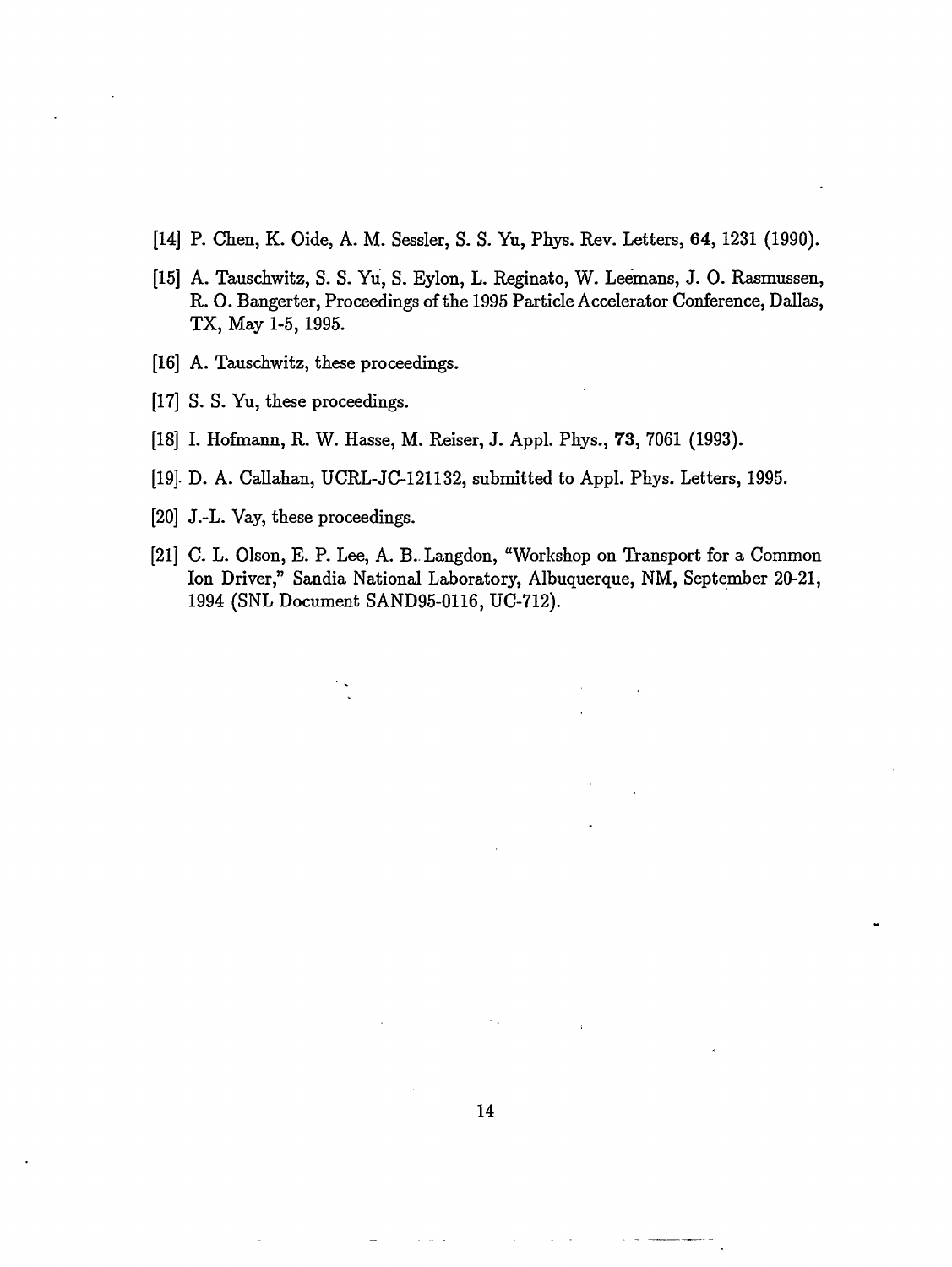- [14] P. Chen, K. Oide, A. M. Sessler, S. S. Yu, Phys. Rev. Letters, 64, 1231 (1990).
- [15] A. Tauschwitz, S. S. Yu, S. Eylon, L. Reginato, W. Leemans, J. O. Rasmussen, R. O. Bangerter, Proceedings of the 1995 Particle Accelerator Conference, Dallas, TX, May 1-5, 1995.
- [16] A. Tauschwitz, these proceedings.
- [17] S. S. Yu, these proceedings.
- [18] I. Hofmann, R. W. Hasse, M. Reiser, J. Appl. Phys., 73, 7061 (1993).
- [19]. D. A. Callahan, UCRL-JC-121132, submitted to Appl. Phys. Letters, 1995.
- [20] J.-L. Vay, these proceedings.
- [21] C. L. Olson, E. P. Lee, A. B.. Langdon, "Workshop on Transport for a Common Ion Driver," Sandia National Laboratory, Albuquerque, NM, September 20-21, 1994 (SNL Document SAND95-0116, UC-712).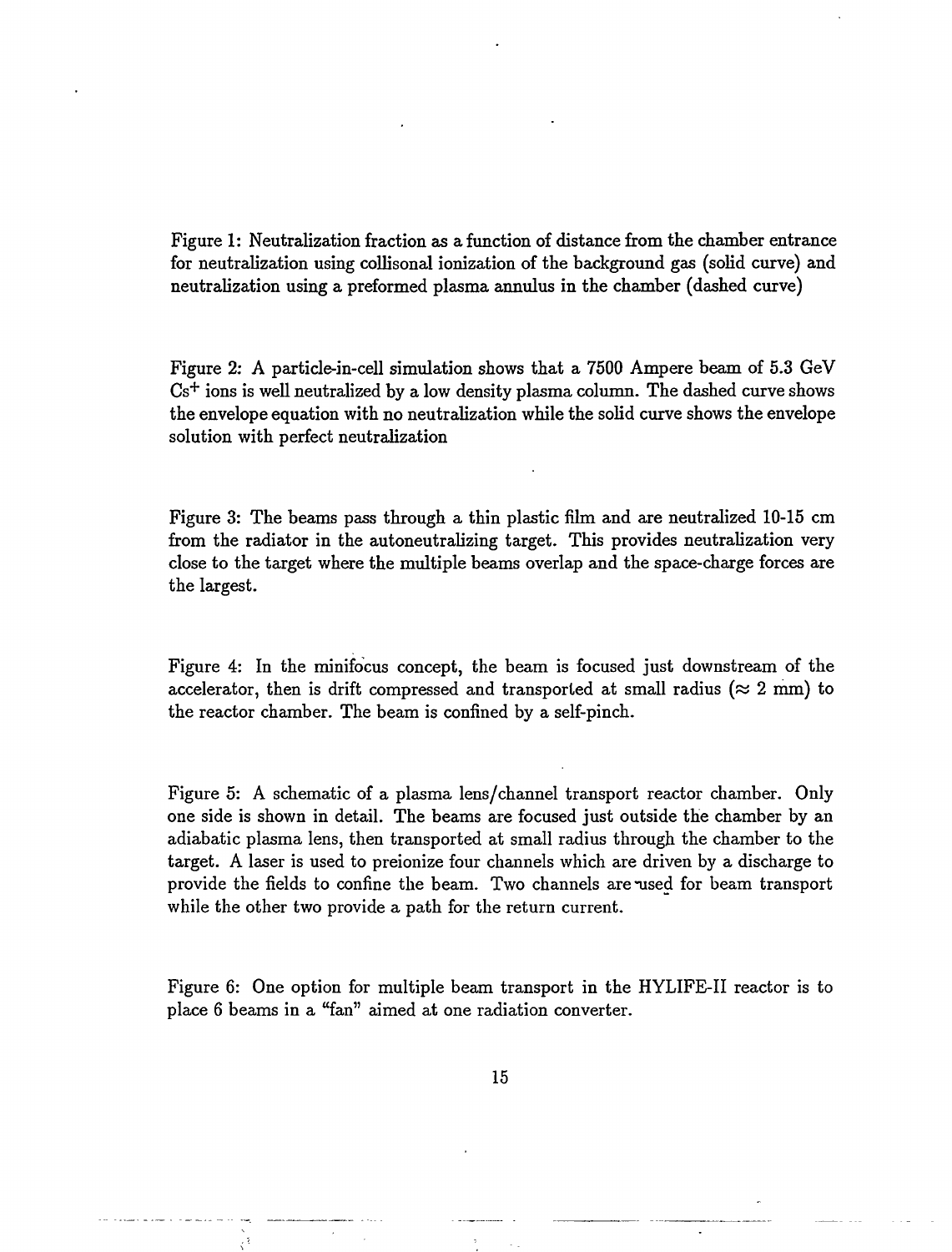Figure 1: Neutralization fraction as a function of distance from the chamber entrance for neutralization using collisonal ionization of the background gas (solid curve) and neutralization using a preformed plasma annulus in the chamber (dashed curve)

Figure 2: A particle-in-cell simulation shows that a 7500 Ampere beam of 5.3 GeV  $\mathrm{Cs^+}$  ions is well neutralized by a low density plasma column. The dashed curve shows the envelope equation with no neutralization while the solid curve shows the envelope solution with perfect neutralization

Figure 3: The beams pass through a thin plastic film and are neutralized 10-15 cm from the radiator in the autoneutralizing target. This provides neutralization very close to the target where the multiple beams overlap and the space-charge forces are the largest.

Figure 4: In the minifocus concept, the beam is focused just downstream of the accelerator, then is drift compressed and transported at small radius ( $\approx 2$  mm) to the reactor chamber. The beam is confined by a self-pinch.

Figure 5: A schematic of a plasma lens/channel transport reactor chamber. Only one side is shown in detail. The beams are focused just outside the chamber by an adiabatic plasma lens, then transported at small radius through the chamber to the target. A laser is used to preionize four channels which are driven by a discharge to provide the fields to confine the beam. Two channels are msed for beam transport while the other two provide a path for the return current.

Figure 6: One option for multiple beam transport in the HYLIFE-II reactor is to place 6 beams in a "fan" aimed at one radiation converter.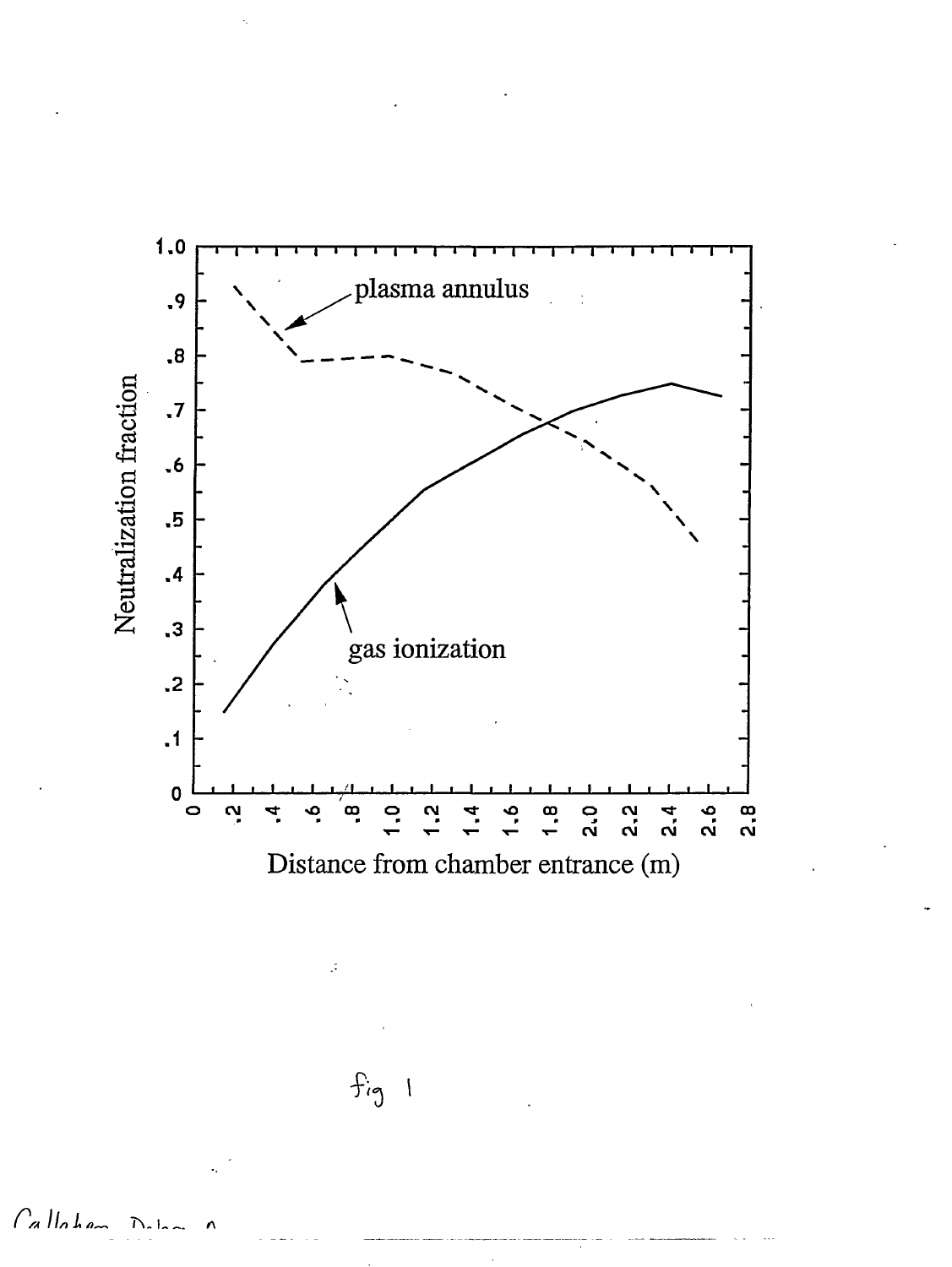

Callohan  $D<sub>th</sub>$ 

 $fig$  1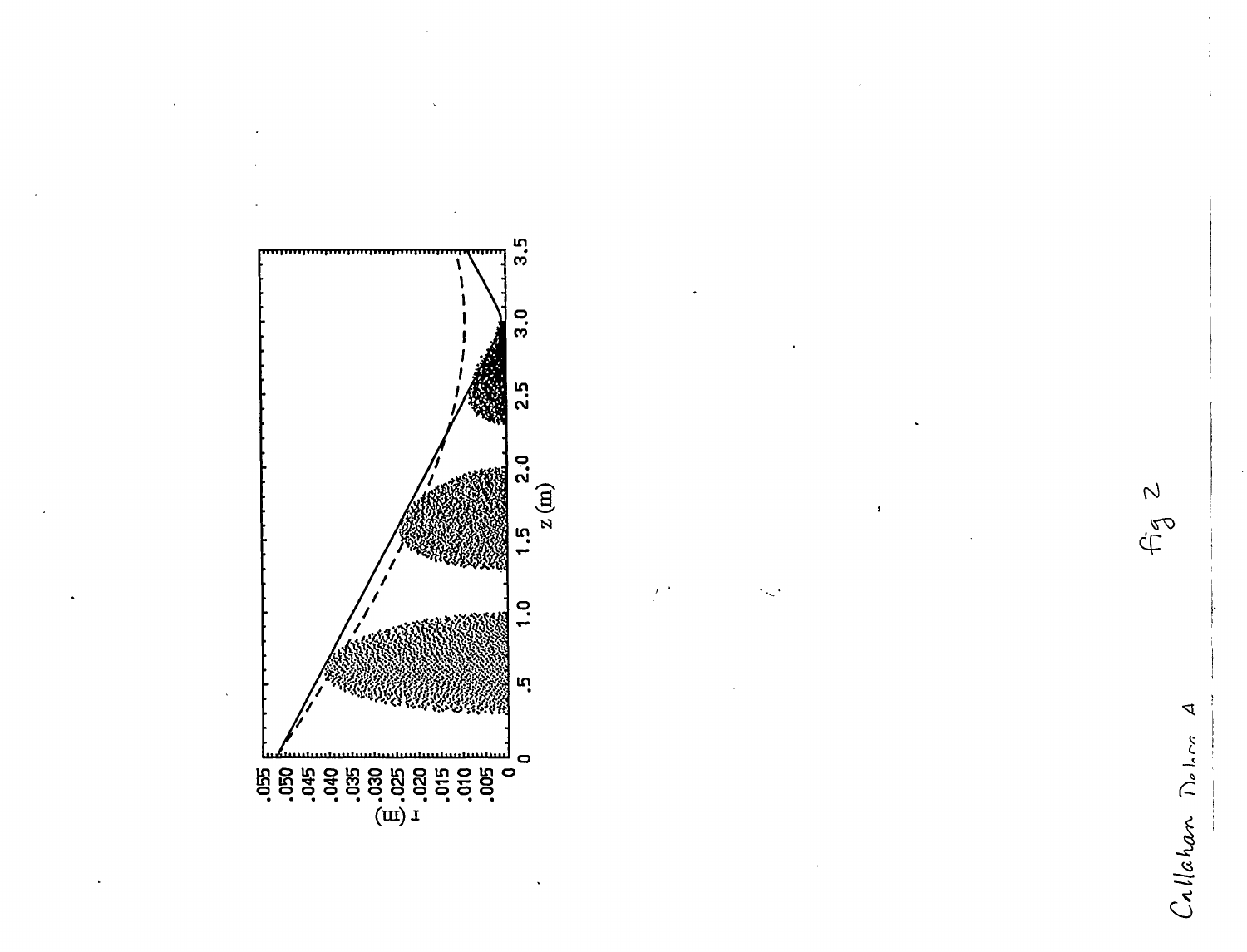



Fg 2

 $\Delta$ 

Callahan Delon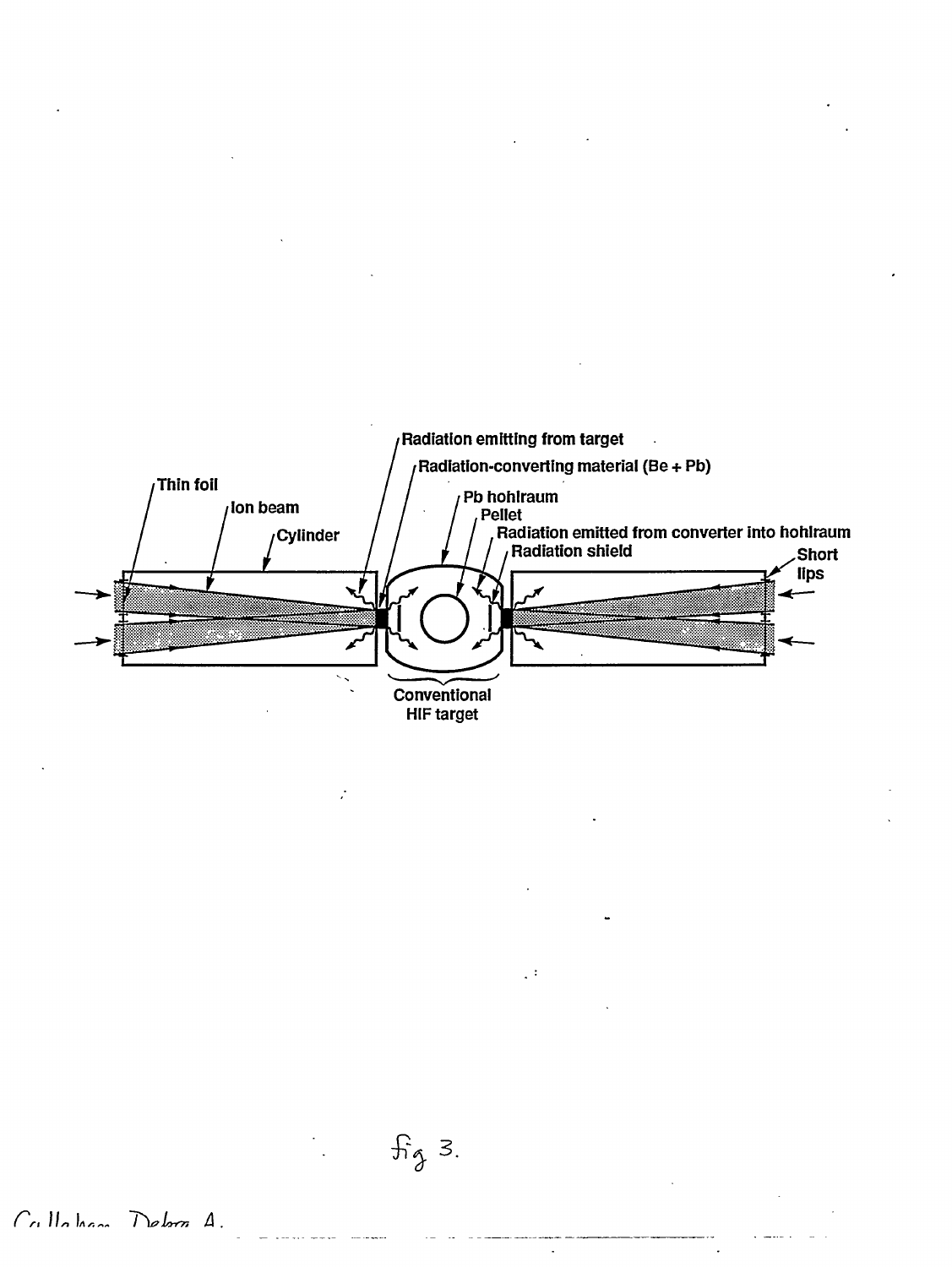

 $\overrightarrow{a}$   $\overrightarrow{a}$ 

 $\mathbb{R}^3$ 

 $\ddot{\phantom{a}}$ 

*, <i>Ilohan Dobra A*.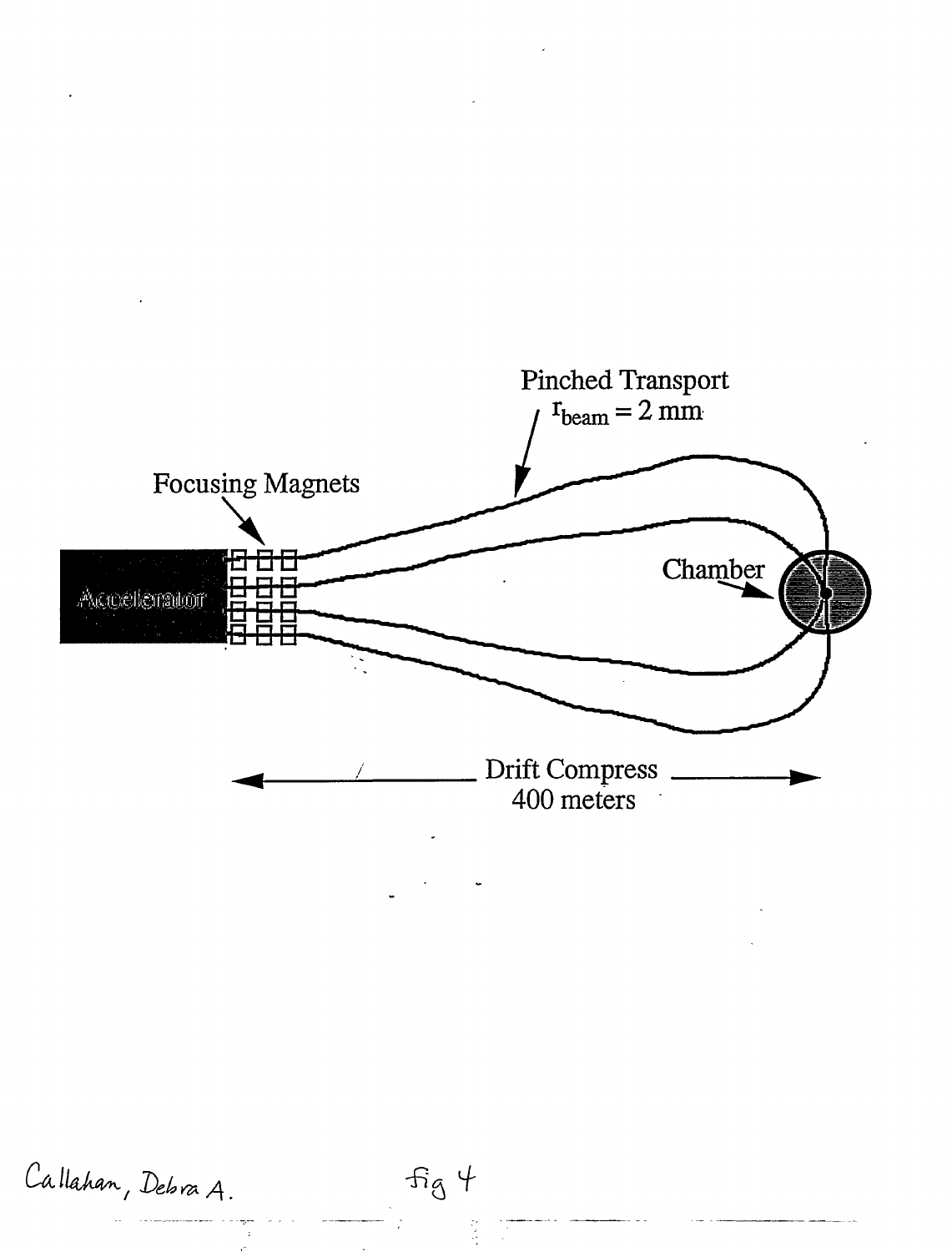

*C^lUh^/ <sup>D</sup>&UK/\* **^a +** 

 $\frac{1}{2}$  $\mathcal{A}^{\pm}$ 

 $\frac{1}{2}$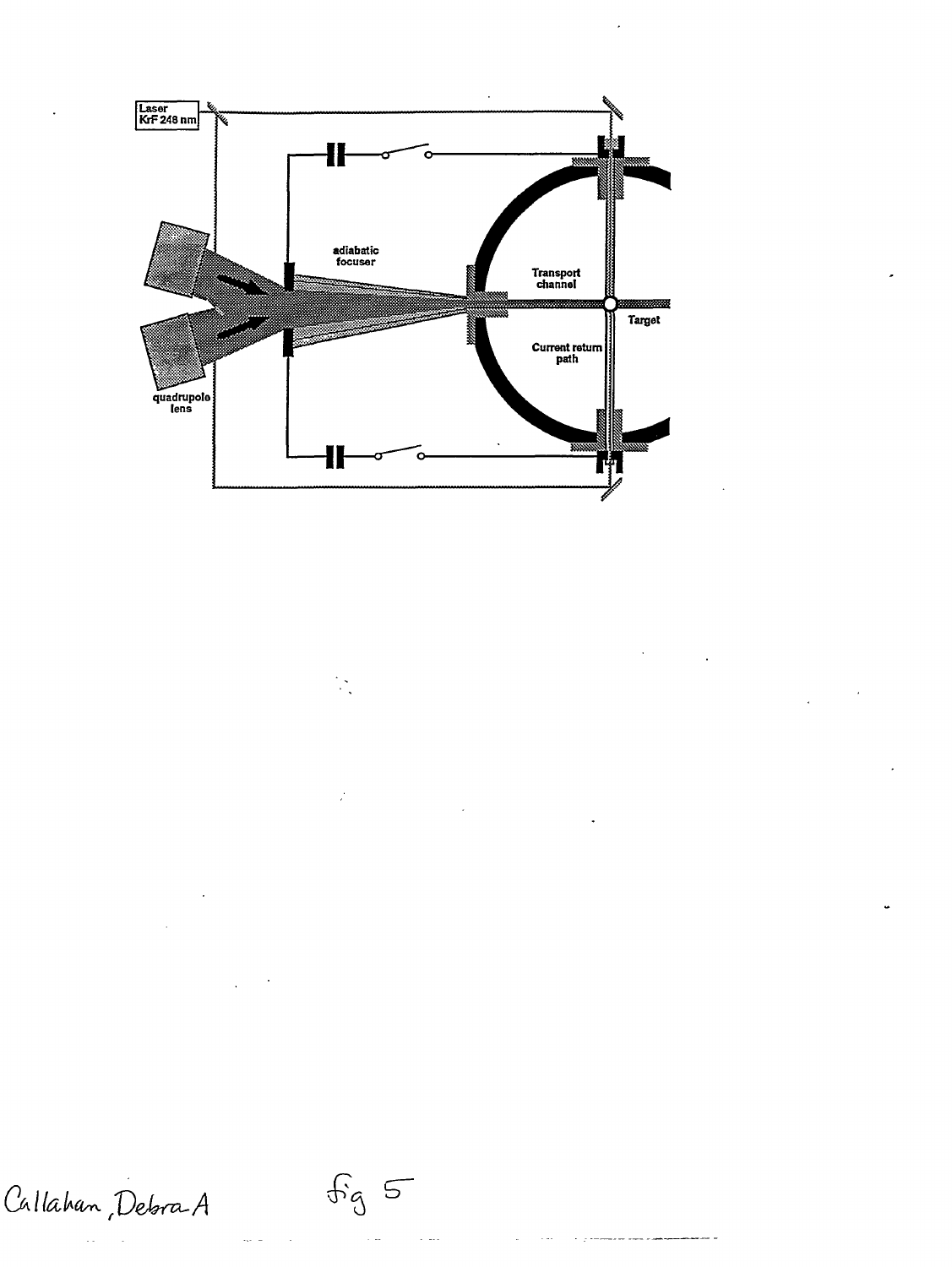

 $\mathbb{R}^2$ 

 $\mathcal{L}$ 

Callahan, Debra A

 $\mathfrak{F}_{3}\subseteq$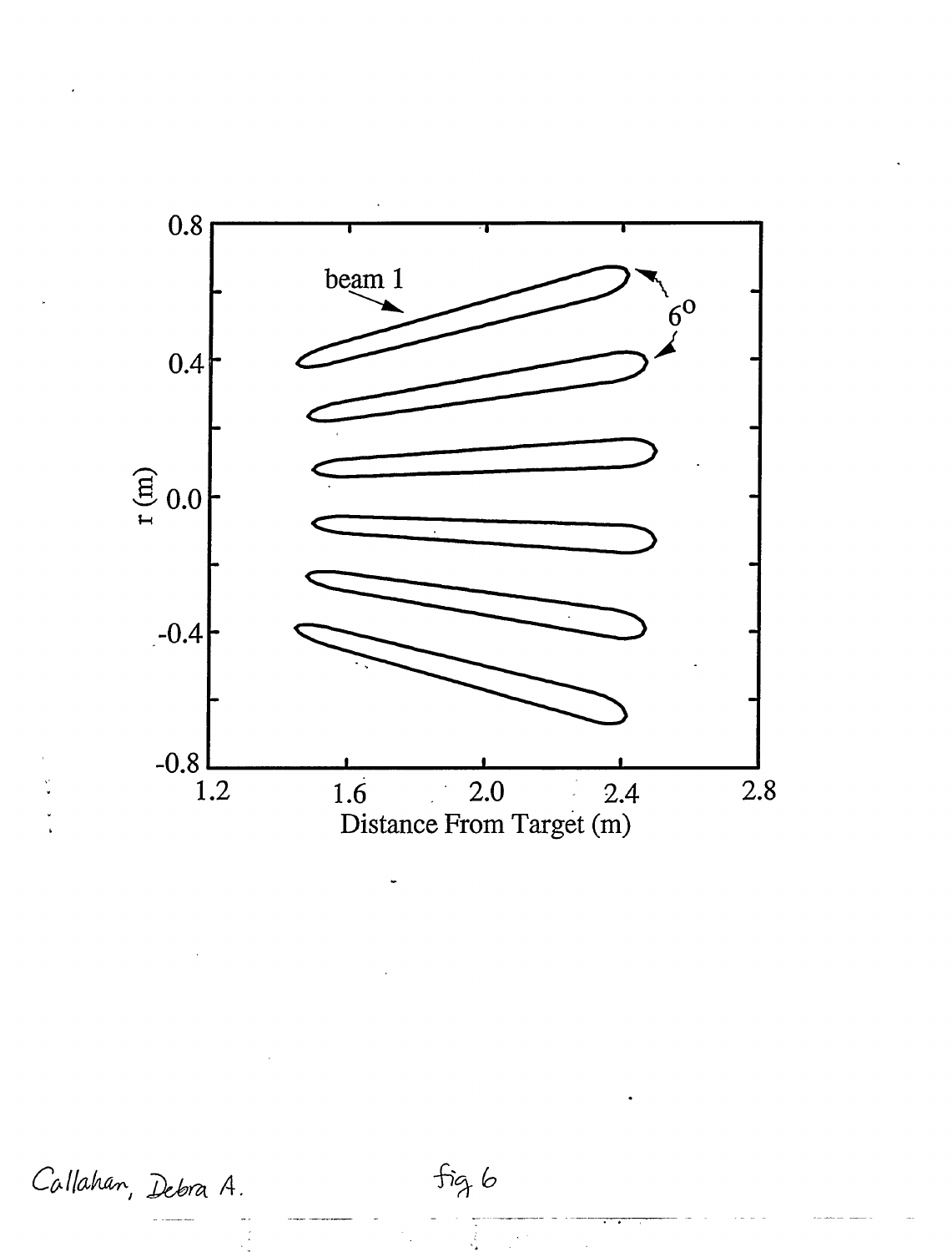

Callahan, Debra A.

 $fig6$